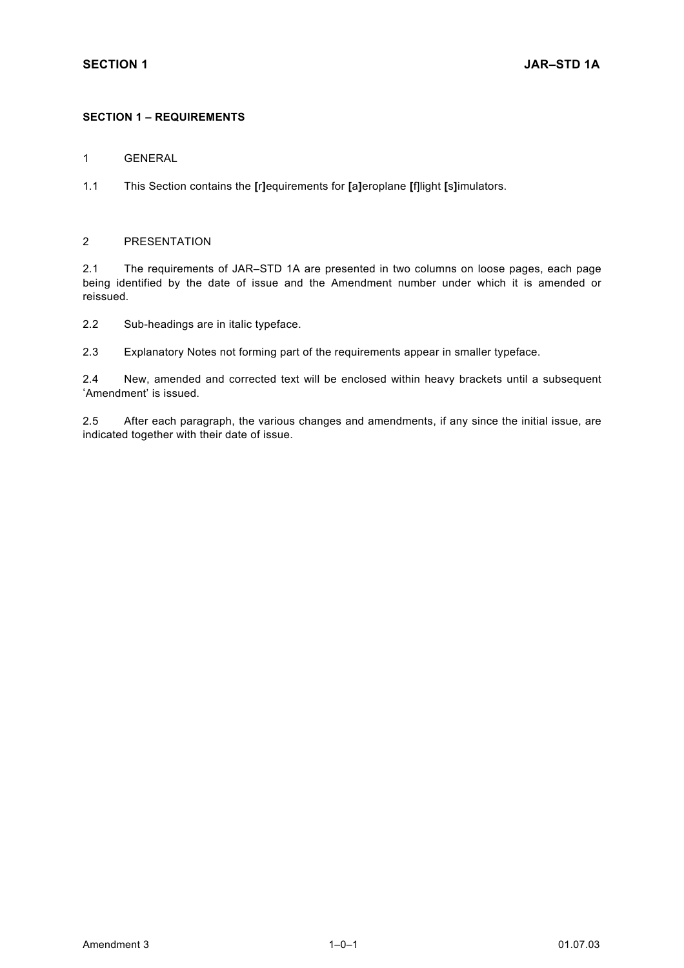## **SECTION 1 – REQUIREMENTS**

1 GENERAL

1.1 This Section contains the **[**r**]**equirements for **[**a**]**eroplane **[**f]light **[**s**]**imulators.

### 2 PRESENTATION

2.1 The requirements of JAR–STD 1A are presented in two columns on loose pages, each page being identified by the date of issue and the Amendment number under which it is amended or reissued.

2.2 Sub-headings are in italic typeface.

2.3 Explanatory Notes not forming part of the requirements appear in smaller typeface.

2.4 New, amended and corrected text will be enclosed within heavy brackets until a subsequent 'Amendment' is issued.

2.5 After each paragraph, the various changes and amendments, if any since the initial issue, are indicated together with their date of issue.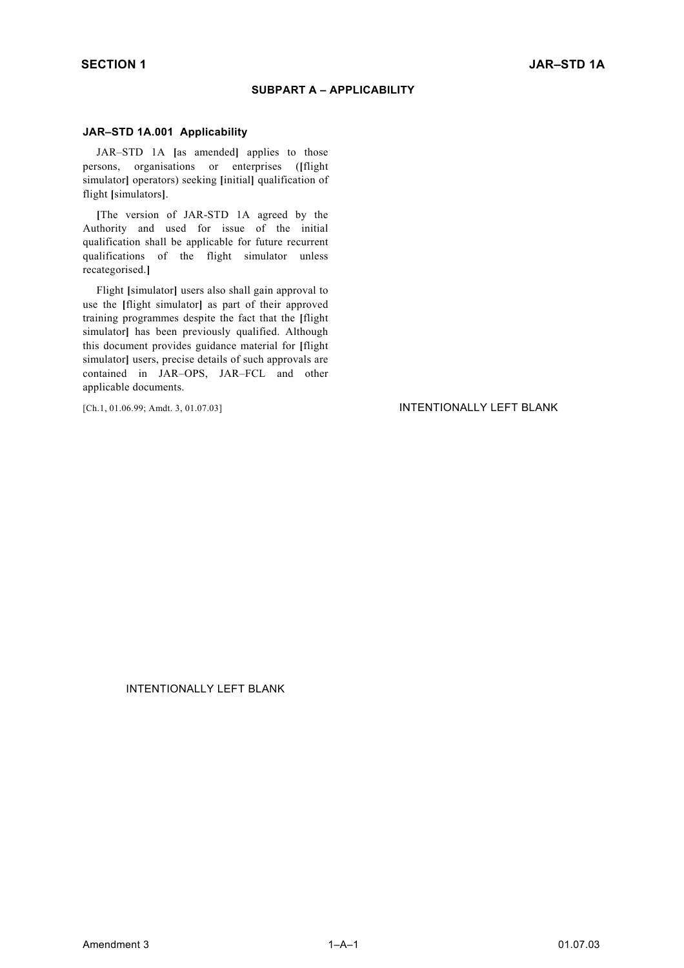### **SUBPART A – APPLICABILITY**

#### **JAR–STD 1A.001 Applicability**

JAR–STD 1A **[**as amended**]** applies to those persons, organisations or enterprises (**[**flight simulator**]** operators) seeking **[**initial**]** qualification of flight **[**simulators**]**.

**[**The version of JAR-STD 1A agreed by the Authority and used for issue of the initial qualification shall be applicable for future recurrent qualifications of the flight simulator unless recategorised.**]**

Flight **[**simulator**]** users also shall gain approval to use the **[**flight simulator**]** as part of their approved training programmes despite the fact that the **[**flight simulator] has been previously qualified. Although this document provides guidance material for **[**flight simulator] users, precise details of such approvals are contained in JAR–OPS, JAR–FCL and other applicable documents.

#### [Ch.1, 01.06.99; Amdt. 3, 01.07.03] INTENTIONALLY LEFT BLANK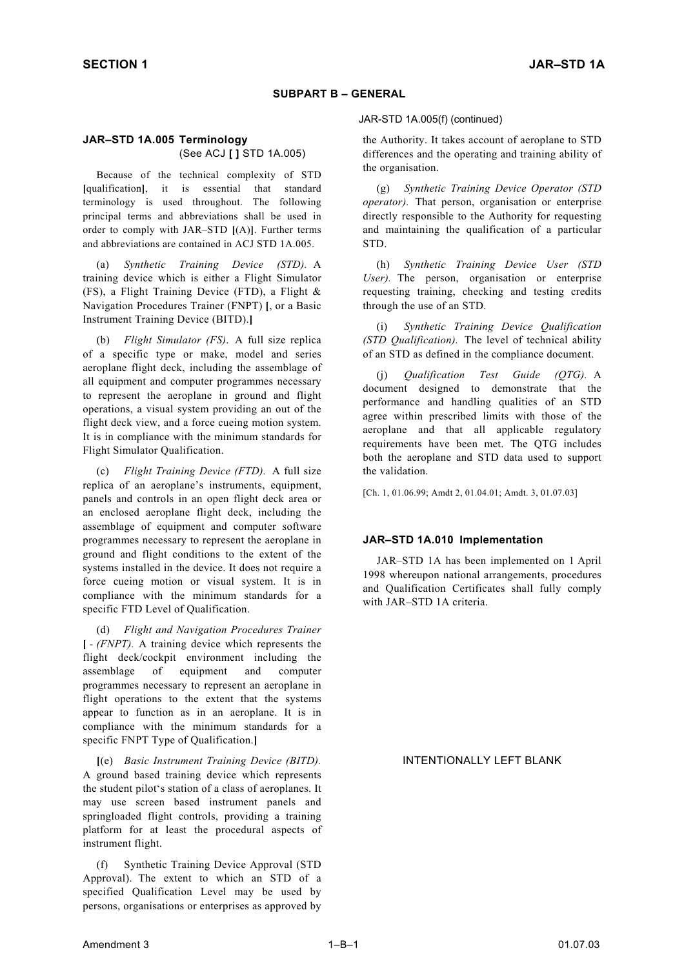### **SUBPART B – GENERAL**

## **JAR–STD 1A.005 Terminology** (See ACJ **[ ]** STD 1A.005)

Because of the technical complexity of STD **[**qualification**]**, it is essential that standard terminology is used throughout. The following principal terms and abbreviations shall be used in order to comply with JAR–STD **[**(A)**]**. Further terms and abbreviations are contained in ACJ STD 1A.005.

(a) *Synthetic Training Device (STD).* A training device which is either a Flight Simulator (FS), a Flight Training Device (FTD), a Flight & Navigation Procedures Trainer (FNPT) **[**, or a Basic Instrument Training Device (BITD).**]**

(b) *Flight Simulator (FS)*. A full size replica of a specific type or make, model and series aeroplane flight deck, including the assemblage of all equipment and computer programmes necessary to represent the aeroplane in ground and flight operations, a visual system providing an out of the flight deck view, and a force cueing motion system. It is in compliance with the minimum standards for Flight Simulator Qualification.

(c) *Flight Training Device (FTD).* A full size replica of an aeroplane's instruments, equipment, panels and controls in an open flight deck area or an enclosed aeroplane flight deck, including the assemblage of equipment and computer software programmes necessary to represent the aeroplane in ground and flight conditions to the extent of the systems installed in the device. It does not require a force cueing motion or visual system. It is in compliance with the minimum standards for a specific FTD Level of Qualification.

(d) *Flight and Navigation Procedures Trainer*  **[** *- (FNPT).* A training device which represents the flight deck/cockpit environment including the assemblage of equipment and computer programmes necessary to represent an aeroplane in flight operations to the extent that the systems appear to function as in an aeroplane. It is in compliance with the minimum standards for a specific FNPT Type of Qualification.**]**

**[**(e) *Basic Instrument Training Device (BITD).* A ground based training device which represents the student pilot's station of a class of aeroplanes. It may use screen based instrument panels and springloaded flight controls, providing a training platform for at least the procedural aspects of instrument flight.

(f) Synthetic Training Device Approval (STD Approval). The extent to which an STD of a specified Qualification Level may be used by persons, organisations or enterprises as approved by

#### JAR-STD 1A.005(f) (continued)

the Authority. It takes account of aeroplane to STD differences and the operating and training ability of the organisation.

(g) *Synthetic Training Device Operator (STD operator).* That person, organisation or enterprise directly responsible to the Authority for requesting and maintaining the qualification of a particular STD.

(h) *Synthetic Training Device User (STD User).* The person, organisation or enterprise requesting training, checking and testing credits through the use of an STD.

(i) *Synthetic Training Device Qualification (STD Qualification).* The level of technical ability of an STD as defined in the compliance document.

(j) *Qualification Test Guide (QTG).* A document designed to demonstrate that the performance and handling qualities of an STD agree within prescribed limits with those of the aeroplane and that all applicable regulatory requirements have been met. The QTG includes both the aeroplane and STD data used to support the validation.

[Ch. 1, 01.06.99; Amdt 2, 01.04.01; Amdt. 3, 01.07.03]

#### **JAR–STD 1A.010 Implementation**

JAR–STD 1A has been implemented on 1 April 1998 whereupon national arrangements, procedures and Qualification Certificates shall fully comply with JAR–STD 1A criteria.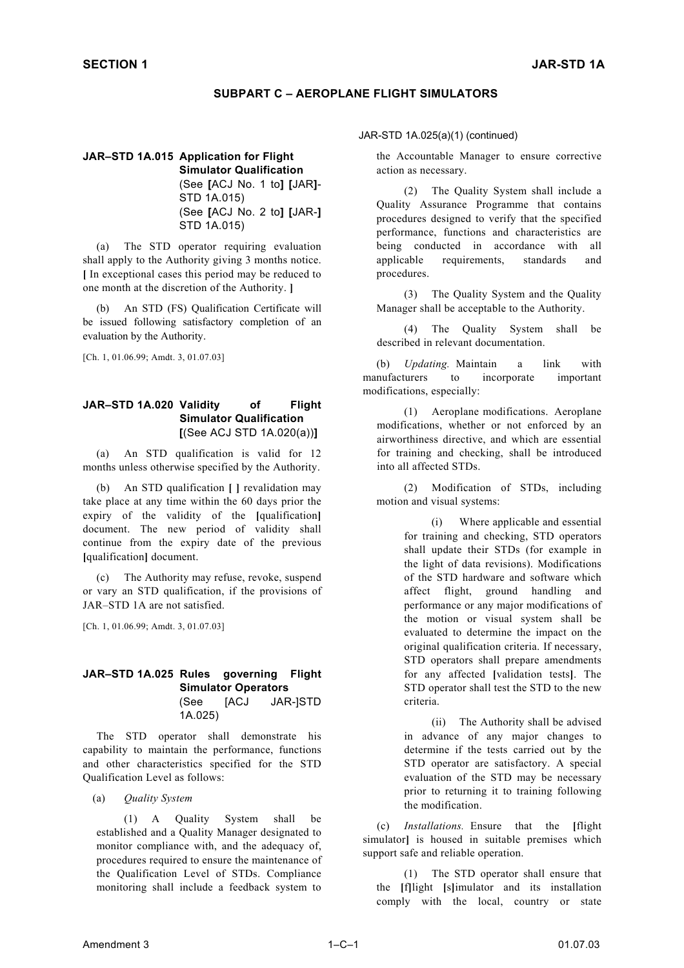## **SUBPART C – AEROPLANE FLIGHT SIMULATORS**

# **JAR–STD 1A.015 Application for Flight Simulator Qualification**  (See **[**ACJ No. 1 to**] [**JAR**]**-

STD 1A.015) (See **[**ACJ No. 2 to**] [**JAR-**]** STD 1A.015)

(a) The STD operator requiring evaluation shall apply to the Authority giving 3 months notice. **[** In exceptional cases this period may be reduced to one month at the discretion of the Authority. **]**

(b) An STD (FS) Qualification Certificate will be issued following satisfactory completion of an evaluation by the Authority.

[Ch. 1, 01.06.99; Amdt. 3, 01.07.03]

## **JAR–STD 1A.020 Validity of Flight Simulator Qualification [**(See ACJ STD 1A.020(a))**]**

(a) An STD qualification is valid for 12 months unless otherwise specified by the Authority.

(b) An STD qualification **[ ]** revalidation may take place at any time within the 60 days prior the expiry of the validity of the **[**qualification**]** document. The new period of validity shall continue from the expiry date of the previous **[**qualification**]** document.

The Authority may refuse, revoke, suspend or vary an STD qualification, if the provisions of JAR–STD 1A are not satisfied.

[Ch. 1, 01.06.99; Amdt. 3, 01.07.03]

#### **JAR–STD 1A.025 Rules governing Flight Simulator Operators**  (See [ACJ JAR-]STD 1A.025)

The STD operator shall demonstrate his capability to maintain the performance, functions and other characteristics specified for the STD Qualification Level as follows:

(a) *Quality System* 

(1) A Quality System shall be established and a Quality Manager designated to monitor compliance with, and the adequacy of, procedures required to ensure the maintenance of the Qualification Level of STDs. Compliance monitoring shall include a feedback system to

#### JAR-STD 1A.025(a)(1) (continued)

the Accountable Manager to ensure corrective action as necessary.

(2) The Quality System shall include a Quality Assurance Programme that contains procedures designed to verify that the specified performance, functions and characteristics are being conducted in accordance with all applicable requirements, standards and procedures.

(3) The Quality System and the Quality Manager shall be acceptable to the Authority.

(4) The Quality System shall be described in relevant documentation.

(b) *Updating.* Maintain a link with manufacturers to incorporate important modifications, especially:

(1) Aeroplane modifications. Aeroplane modifications, whether or not enforced by an airworthiness directive, and which are essential for training and checking, shall be introduced into all affected STDs.

(2) Modification of STDs, including motion and visual systems:

> (i) Where applicable and essential for training and checking, STD operators shall update their STDs (for example in the light of data revisions). Modifications of the STD hardware and software which affect flight, ground handling and performance or any major modifications of the motion or visual system shall be evaluated to determine the impact on the original qualification criteria. If necessary, STD operators shall prepare amendments for any affected **[**validation tests**]**. The STD operator shall test the STD to the new criteria.

> (ii) The Authority shall be advised in advance of any major changes to determine if the tests carried out by the STD operator are satisfactory. A special evaluation of the STD may be necessary prior to returning it to training following the modification.

(c) *Installations.* Ensure that the **[**flight simulator**]** is housed in suitable premises which support safe and reliable operation.

(1) The STD operator shall ensure that the **[**f**]**light **[**s**]**imulator and its installation comply with the local, country or state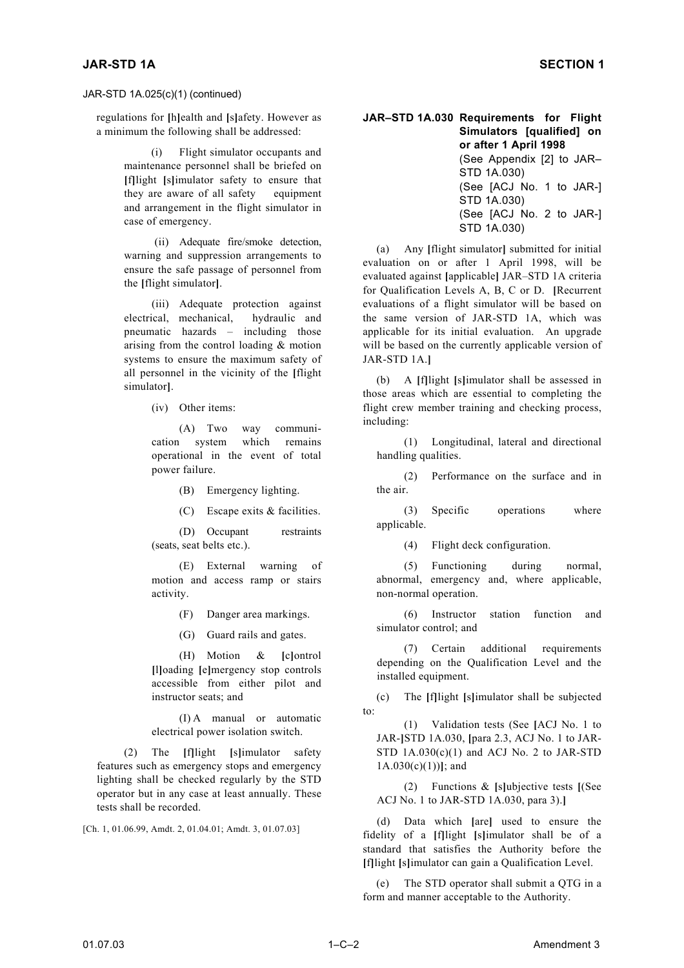## JAR-STD 1A.025(c)(1) (continued)

regulations for **[**h**]**ealth and **[**s**]**afety. However as a minimum the following shall be addressed:

> maintenance personnel shall be briefed on **[**f**]**light **[**s**]**imulator safety to ensure that they are aware of all safety equipment and arrangement in the flight simulator in case of emergency.

> (ii) Adequate fire/smoke detection, warning and suppression arrangements to ensure the safe passage of personnel from the **[**flight simulator**]**.

> (iii) Adequate protection against electrical, mechanical, hydraulic and pneumatic hazards – including those arising from the control loading & motion systems to ensure the maximum safety of all personnel in the vicinity of the **[**flight

> > (iv) Other items:

(A) Two way communication system which remains operational in the event of total power failure.

(B) Emergency lighting. the air.

(C) Escape exits & facilities.

(D) Occupant restraints (seats, seat belts etc.). (4) Flight deck configuration.

(E) External warning of motion and access ramp or stairs activity.

(F) Danger area markings.

(G) Guard rails and gates.

(H) Motion & **[**c**]**ontrol **[**l**]**oading **[**e**]**mergency stop controls accessible from either pilot and

 $(I)$  A manual or automatic  $[1]$ 

(2) The **[**f**]**light **[**s**]**imulator safety features such as emergency stops and emergency lighting shall be checked regularly by the STD operator but in any case at least annually. These tests shall be recorded.

[Ch. 1, 01.06.99, Amdt. 2, 01.04.01; Amdt. 3, 01.07.03]

#### **JAR–STD 1A.030 Requirements for Flight Simulators [qualified] on or after 1 April 1998** (i) Flight simulator occupants and (See Appendix [2] to JAR– STD 1A.030)

(See [ACJ No. 1 to JAR-] STD 1A.030) (See [ACJ No. 2 to JAR-] STD 1A.030)

(a) Any **[**flight simulator**]** submitted for initial evaluation on or after 1 April 1998, will be evaluated against **[**applicable**]** JAR–STD 1A criteria for Qualification Levels A, B, C or D. **[**Recurrent evaluations of a flight simulator will be based on the same version of JAR-STD 1A, which was applicable for its initial evaluation. An upgrade will be based on the currently applicable version of JAR-STD 1A.**]**

simulator**]**. (b) A **[**f**]**light **[**s**]**imulator shall be assessed in those areas which are essential to completing the flight crew member training and checking process, including:

> (1) Longitudinal, lateral and directional handling qualities.

> (2) Performance on the surface and in

(3) Specific operations where applicable.

(5) Functioning during normal, abnormal, emergency and, where applicable, non-normal operation.

(6) Instructor station function and simulator control; and

(7) Certain additional requirements depending on the Qualification Level and the installed equipment.

instructor seats; and (c) The **[**f**]**light **[**s**]**imulator shall be subjected

electrical power isolation switch.<br>
(1) Validation tests (See [ACJ No. 1 to detectrical power isolation switch. JAR-**]**STD 1A.030, **[**para 2.3, ACJ No. 1 to JAR-STD  $1A.030(c)(1)$  and ACJ No. 2 to JAR-STD 1A.030(c)(1))**]**; and

> (2) Functions & **[**s**]**ubjective tests **[**(See ACJ No. 1 to JAR-STD 1A.030, para 3).**]**

(d) Data which **[**are**]** used to ensure the fidelity of a **[**f**]**light **[**s**]**imulator shall be of a standard that satisfies the Authority before the **[**f**]**light **[**s**]**imulator can gain a Qualification Level.

The STD operator shall submit a QTG in a form and manner acceptable to the Authority.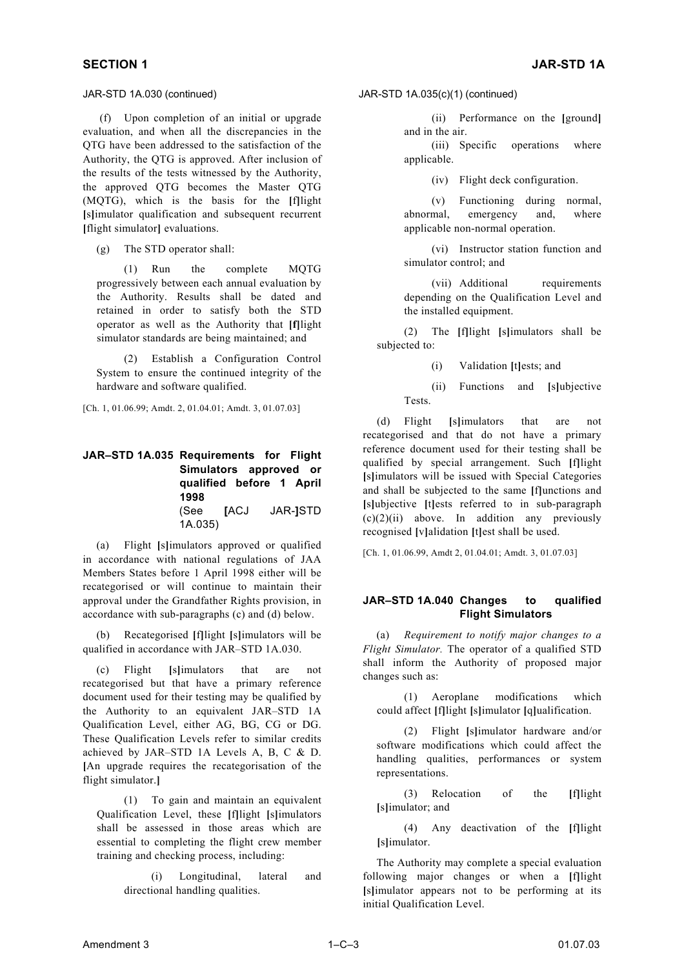(f) Upon completion of an initial or upgrade evaluation, and when all the discrepancies in the QTG have been addressed to the satisfaction of the Authority, the QTG is approved. After inclusion of the results of the tests witnessed by the Authority, the approved QTG becomes the Master QTG (MQTG), which is the basis for the **[**f**]**light **[**s**]**imulator qualification and subsequent recurrent **[**flight simulator**]** evaluations.

(g) The STD operator shall:

(1) Run the complete MQTG progressively between each annual evaluation by the Authority. Results shall be dated and retained in order to satisfy both the STD operator as well as the Authority that **[f]**light simulator standards are being maintained; and

(2) Establish a Configuration Control System to ensure the continued integrity of the hardware and software qualified.

[Ch. 1, 01.06.99; Amdt. 2, 01.04.01; Amdt. 3, 01.07.03]

### **JAR–STD 1A.035 Requirements for Flight Simulators approved or qualified before 1 April 1998**  (See **[**ACJ JAR-**]**STD 1A.035)

(a) Flight **[**s**]**imulators approved or qualified in accordance with national regulations of JAA Members States before 1 April 1998 either will be recategorised or will continue to maintain their approval under the Grandfather Rights provision, in accordance with sub-paragraphs (c) and (d) below.

(b) Recategorised **[**f**]**light **[**s**]**imulators will be qualified in accordance with JAR–STD 1A.030.

changes such as: (c) Flight **[**s**]**imulators that are not recategorised but that have a primary reference document used for their testing may be qualified by the Authority to an equivalent JAR–STD 1A Qualification Level, either AG, BG, CG or DG. These Qualification Levels refer to similar credits achieved by JAR–STD 1A Levels A, B, C & D. **[**An upgrade requires the recategorisation of the flight simulator.**]**

**[**s**]**imulator; and (1) To gain and maintain an equivalent Qualification Level, these **[**f**]**light **[**s**]**imulators shall be assessed in those areas which are essential to completing the flight crew member training and checking process, including:

(i) Longitudinal, lateral and directional handling qualities.

### JAR-STD 1A.030 (continued) JAR-STD 1A.035(c)(1) (continued)

(ii) Performance on the **[**ground**]** and in the air.

(iii) Specific operations where applicable.

(iv) Flight deck configuration.

(v) Functioning during normal, abnormal, emergency and, where applicable non-normal operation.

(vi) Instructor station function and simulator control; and

(vii) Additional requirements depending on the Qualification Level and the installed equipment.

(2) The **[**f**]**light **[**s**]**imulators shall be subjected to:

- (i) Validation **[**t**]**ests; and
- (ii) Functions and **[**s**]**ubjective Tests.

(d) Flight **[**s**]**imulators that are not recategorised and that do not have a primary reference document used for their testing shall be qualified by special arrangement. Such **[**f**]**light **[**s**]**imulators will be issued with Special Categories and shall be subjected to the same **[**f**]**unctions and **[**s**]**ubjective **[**t**]**ests referred to in sub-paragraph  $(c)(2)(ii)$  above. In addition any previously recognised **[**v**]**alidation **[**t**]**est shall be used.

[Ch. 1, 01.06.99, Amdt 2, 01.04.01; Amdt. 3, 01.07.03]

## **JAR–STD 1A.040 Changes to qualified Flight Simulators**

(a) *Requirement to notify major changes to a Flight Simulator.* The operator of a qualified STD shall inform the Authority of proposed major

(1) Aeroplane modifications which could affect **[**f**]**light **[**s**]**imulator **[**q**]**ualification.

(2) Flight **[**s**]**imulator hardware and/or software modifications which could affect the handling qualities, performances or system representations.

(3) Relocation of the **[**f**]**light

(4) Any deactivation of the **[**f**]**light **[**s**]**imulator.

The Authority may complete a special evaluation following major changes or when a **[**f**]**light **[**s**]**imulator appears not to be performing at its initial Qualification Level.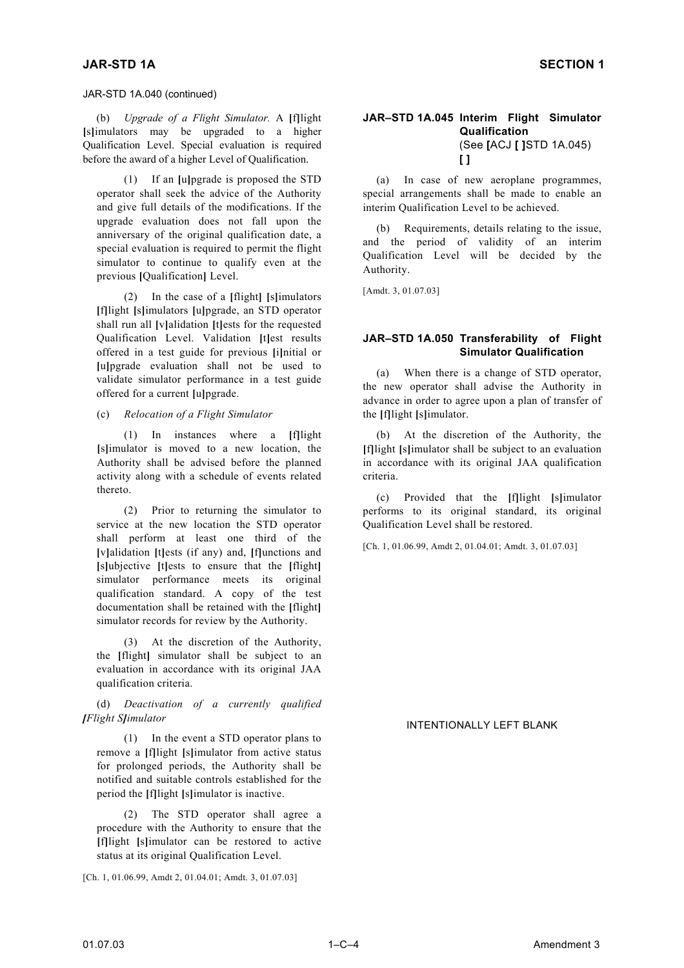### JAR-STD 1A.040 (continued)

(b) *Upgrade of a Flight Simulator.* A **[**f**]**light **[**s**]**imulators may be upgraded to a higher Qualification Level. Special evaluation is required before the award of a higher Level of Qualification.

(1) If an **[**u**]**pgrade is proposed the STD operator shall seek the advice of the Authority and give full details of the modifications. If the upgrade evaluation does not fall upon the anniversary of the original qualification date, a special evaluation is required to permit the flight simulator to continue to qualify even at the previous **[**Qualification**]** Level.

[Amdt. 3, 01.07.03] (2) In the case of a **[**flight**] [**s**]**imulators **[**f**]**light **[**s**]**imulators **[**u**]**pgrade, an STD operator shall run all **[**v**]**alidation **[**t**]**ests for the requested Qualification Level. Validation **[**t**]**est results offered in a test guide for previous **[**i**]**nitial or **[**u**]**pgrade evaluation shall not be used to validate simulator performance in a test guide offered for a current **[**u**]**pgrade.

(c) *Relocation of a Flight Simulator* the **[**f**]**light **[**s**]**imulator.

(1) In instances where a **[**f**]**light **[**s**]**imulator is moved to a new location, the Authority shall be advised before the planned activity along with a schedule of events related thereto.

(2) Prior to returning the simulator to service at the new location the STD operator shall perform at least one third of the **[**v**]**alidation **[**t**]**ests (if any) and, **[**f**]**unctions and **[**s**]**ubjective **[**t**]**ests to ensure that the **[**flight**]** simulator performance meets its original qualification standard. A copy of the test documentation shall be retained with the **[**flight**]** simulator records for review by the Authority.

At the discretion of the Authority, the **[**flight**]** simulator shall be subject to an evaluation in accordance with its original JAA qualification criteria.

(d) *Deactivation of a currently qualified [Flight S]imulator* INTENTIONALLY LEFT BLANK

(1) In the event a STD operator plans to remove a **[**f**]**light **[**s**]**imulator from active status for prolonged periods, the Authority shall be notified and suitable controls established for the period the **[**f**]**light **[**s**]**imulator is inactive.

(2) The STD operator shall agree a procedure with the Authority to ensure that the **[**f**]**light **[**s**]**imulator can be restored to active status at its original Qualification Level.

[Ch. 1, 01.06.99, Amdt 2, 01.04.01; Amdt. 3, 01.07.03]

#### **JAR–STD 1A.045 Interim Flight Simulator Qualification**  (See **[**ACJ **[ ]**STD 1A.045) **[ ]**

(a) In case of new aeroplane programmes, special arrangements shall be made to enable an interim Qualification Level to be achieved.

(b) Requirements, details relating to the issue, and the period of validity of an interim Qualification Level will be decided by the Authority.

## **JAR–STD 1A.050 Transferability of Flight Simulator Qualification**

(a) When there is a change of STD operator, the new operator shall advise the Authority in advance in order to agree upon a plan of transfer of

(b) At the discretion of the Authority, the **[**f**]**light **[**s**]**imulator shall be subject to an evaluation in accordance with its original JAA qualification criteria.

(c) Provided that the **[**f**]**light **[**s**]**imulator performs to its original standard, its original Qualification Level shall be restored.

[Ch. 1, 01.06.99, Amdt 2, 01.04.01; Amdt. 3, 01.07.03]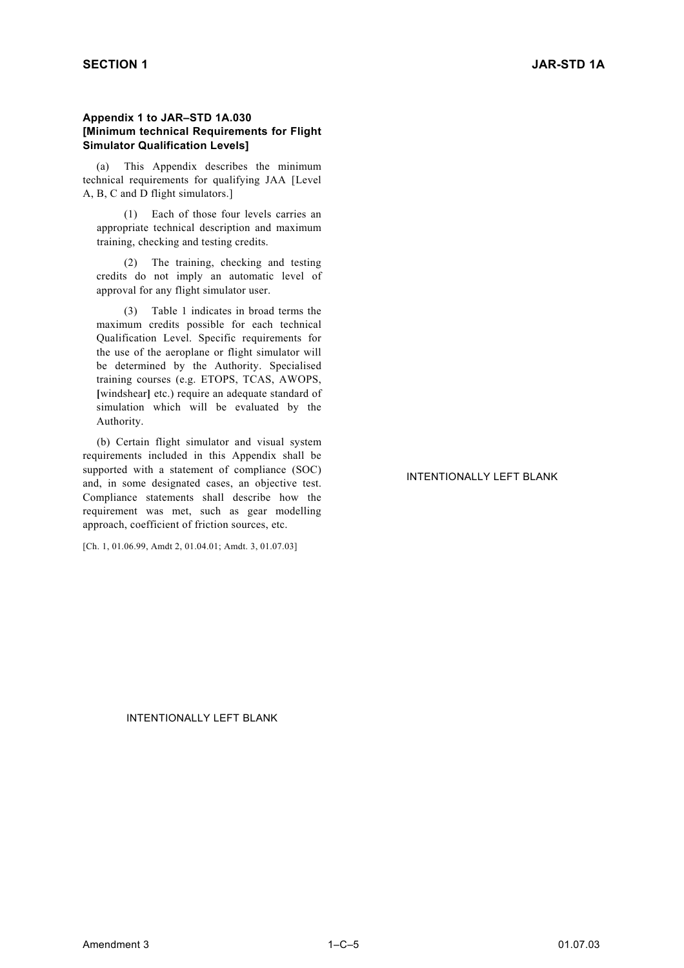### **Appendix 1 to JAR–STD 1A.030 [Minimum technical Requirements for Flight Simulator Qualification Levels]**

(a) This Appendix describes the minimum technical requirements for qualifying JAA [Level A, B, C and D flight simulators.]

(1) Each of those four levels carries an appropriate technical description and maximum training, checking and testing credits.

(2) The training, checking and testing credits do not imply an automatic level of approval for any flight simulator user.

(3) Table 1 indicates in broad terms the maximum credits possible for each technical Qualification Level. Specific requirements for the use of the aeroplane or flight simulator will be determined by the Authority. Specialised training courses (e.g. ETOPS, TCAS, AWOPS, **[**windshear**]** etc.) require an adequate standard of simulation which will be evaluated by the Authority.

(b) Certain flight simulator and visual system requirements included in this Appendix shall be supported with a statement of compliance (SOC) and, in some designated cases, an objective test. Compliance statements shall describe how the requirement was met, such as gear modelling approach, coefficient of friction sources, etc.

[Ch. 1, 01.06.99, Amdt 2, 01.04.01; Amdt. 3, 01.07.03]

## INTENTIONALLY LEFT BLANK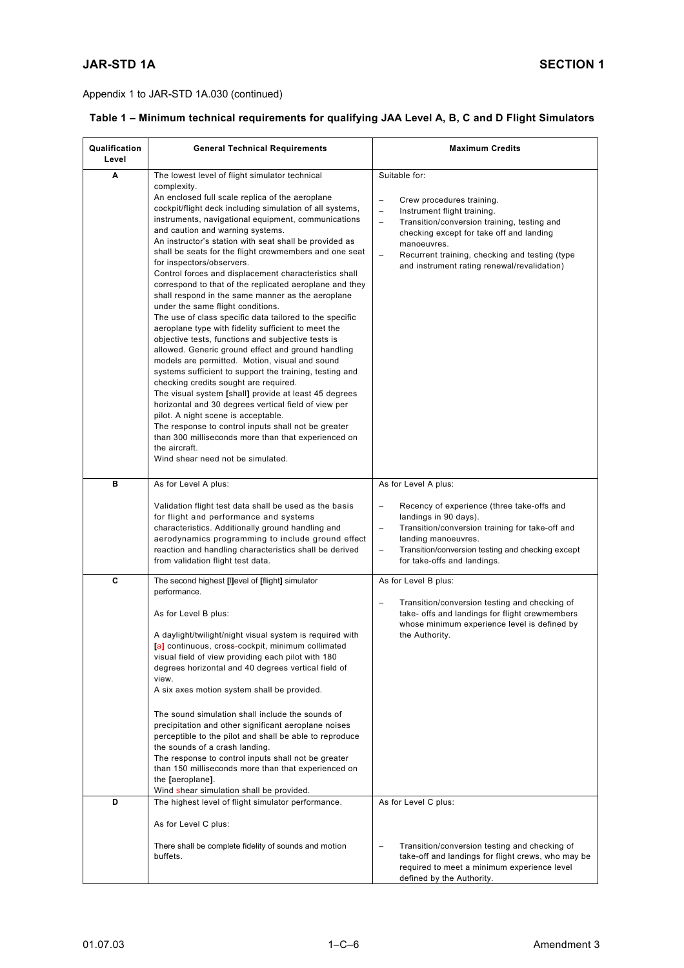| Table 1 - Minimum technical requirements for qualifying JAA Level A, B, C and D Flight Simulators |  |  |  |  |
|---------------------------------------------------------------------------------------------------|--|--|--|--|
|---------------------------------------------------------------------------------------------------|--|--|--|--|

| Qualification<br>Level | <b>General Technical Requirements</b>                                                                                                                                                                                                                                                                                                                                                                                                                                                                                                                                                                                                                                                                                                                                                                                                                                                                                                                                                                                                                                                                                                                                                                                                                                                                                                                  | <b>Maximum Credits</b>                                                                                                                                                                                                                                                                                                                                                   |
|------------------------|--------------------------------------------------------------------------------------------------------------------------------------------------------------------------------------------------------------------------------------------------------------------------------------------------------------------------------------------------------------------------------------------------------------------------------------------------------------------------------------------------------------------------------------------------------------------------------------------------------------------------------------------------------------------------------------------------------------------------------------------------------------------------------------------------------------------------------------------------------------------------------------------------------------------------------------------------------------------------------------------------------------------------------------------------------------------------------------------------------------------------------------------------------------------------------------------------------------------------------------------------------------------------------------------------------------------------------------------------------|--------------------------------------------------------------------------------------------------------------------------------------------------------------------------------------------------------------------------------------------------------------------------------------------------------------------------------------------------------------------------|
| A                      | The lowest level of flight simulator technical<br>complexity.<br>An enclosed full scale replica of the aeroplane<br>cockpit/flight deck including simulation of all systems,<br>instruments, navigational equipment, communications<br>and caution and warning systems.<br>An instructor's station with seat shall be provided as<br>shall be seats for the flight crewmembers and one seat<br>for inspectors/observers.<br>Control forces and displacement characteristics shall<br>correspond to that of the replicated aeroplane and they<br>shall respond in the same manner as the aeroplane<br>under the same flight conditions.<br>The use of class specific data tailored to the specific<br>aeroplane type with fidelity sufficient to meet the<br>objective tests, functions and subjective tests is<br>allowed. Generic ground effect and ground handling<br>models are permitted. Motion, visual and sound<br>systems sufficient to support the training, testing and<br>checking credits sought are required.<br>The visual system [shall] provide at least 45 degrees<br>horizontal and 30 degrees vertical field of view per<br>pilot. A night scene is acceptable.<br>The response to control inputs shall not be greater<br>than 300 milliseconds more than that experienced on<br>the aircraft.<br>Wind shear need not be simulated. | Suitable for:<br>$\overline{\phantom{0}}$<br>Crew procedures training.<br>$\overline{\phantom{0}}$<br>Instrument flight training.<br>Transition/conversion training, testing and<br>$\overline{\phantom{0}}$<br>checking except for take off and landing<br>manoeuvres.<br>Recurrent training, checking and testing (type<br>and instrument rating renewal/revalidation) |
| в                      | As for Level A plus:                                                                                                                                                                                                                                                                                                                                                                                                                                                                                                                                                                                                                                                                                                                                                                                                                                                                                                                                                                                                                                                                                                                                                                                                                                                                                                                                   | As for Level A plus:                                                                                                                                                                                                                                                                                                                                                     |
|                        | Validation flight test data shall be used as the basis<br>for flight and performance and systems<br>characteristics. Additionally ground handling and<br>aerodynamics programming to include ground effect<br>reaction and handling characteristics shall be derived<br>from validation flight test data.                                                                                                                                                                                                                                                                                                                                                                                                                                                                                                                                                                                                                                                                                                                                                                                                                                                                                                                                                                                                                                              | Recency of experience (three take-offs and<br>-<br>landings in 90 days).<br>Transition/conversion training for take-off and<br>-<br>landing manoeuvres.<br>Transition/conversion testing and checking except<br>$\overline{\phantom{0}}$<br>for take-offs and landings.                                                                                                  |
| C<br>D                 | The second highest [I]evel of [flight] simulator<br>performance.<br>As for Level B plus:<br>A daylight/twilight/night visual system is required with<br>[a] continuous, cross-cockpit, minimum collimated<br>visual field of view providing each pilot with 180<br>degrees horizontal and 40 degrees vertical field of<br>view.<br>A six axes motion system shall be provided.<br>The sound simulation shall include the sounds of<br>precipitation and other significant aeroplane noises<br>perceptible to the pilot and shall be able to reproduce<br>the sounds of a crash landing.<br>The response to control inputs shall not be greater<br>than 150 milliseconds more than that experienced on<br>the [aeroplane].<br>Wind shear simulation shall be provided.<br>The highest level of flight simulator performance.<br>As for Level C plus:                                                                                                                                                                                                                                                                                                                                                                                                                                                                                                    | As for Level B plus:<br>Transition/conversion testing and checking of<br>-<br>take- offs and landings for flight crewmembers<br>whose minimum experience level is defined by<br>the Authority.<br>As for Level C plus:                                                                                                                                                   |
|                        | There shall be complete fidelity of sounds and motion<br>buffets.                                                                                                                                                                                                                                                                                                                                                                                                                                                                                                                                                                                                                                                                                                                                                                                                                                                                                                                                                                                                                                                                                                                                                                                                                                                                                      | Transition/conversion testing and checking of<br>take-off and landings for flight crews, who may be<br>required to meet a minimum experience level<br>defined by the Authority.                                                                                                                                                                                          |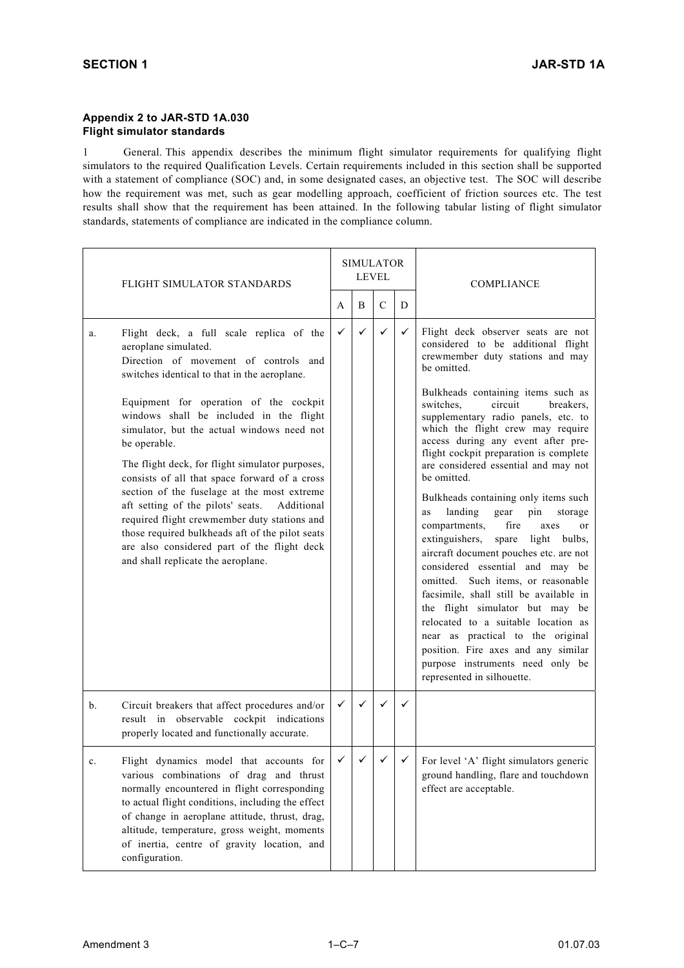### **Appendix 2 to JAR-STD 1A.030 Flight simulator standards**

1 General. This appendix describes the minimum flight simulator requirements for qualifying flight simulators to the required Qualification Levels. Certain requirements included in this section shall be supported with a statement of compliance (SOC) and, in some designated cases, an objective test. The SOC will describe how the requirement was met, such as gear modelling approach, coefficient of friction sources etc. The test results shall show that the requirement has been attained. In the following tabular listing of flight simulator standards, statements of compliance are indicated in the compliance column.

|    | FLIGHT SIMULATOR STANDARDS                                                                                                                                                                                                                                                                                                                                                                                                                                                                                                                    |              | <b>SIMULATOR</b><br><b>LEVEL</b> |               |              | <b>COMPLIANCE</b>                                                                                                                                                                                                                                                                                                                                                                                                                                                                                                                                                                                                                                                                                                                                                                                                                                    |
|----|-----------------------------------------------------------------------------------------------------------------------------------------------------------------------------------------------------------------------------------------------------------------------------------------------------------------------------------------------------------------------------------------------------------------------------------------------------------------------------------------------------------------------------------------------|--------------|----------------------------------|---------------|--------------|------------------------------------------------------------------------------------------------------------------------------------------------------------------------------------------------------------------------------------------------------------------------------------------------------------------------------------------------------------------------------------------------------------------------------------------------------------------------------------------------------------------------------------------------------------------------------------------------------------------------------------------------------------------------------------------------------------------------------------------------------------------------------------------------------------------------------------------------------|
|    |                                                                                                                                                                                                                                                                                                                                                                                                                                                                                                                                               | A            | B                                | $\mathcal{C}$ | D            |                                                                                                                                                                                                                                                                                                                                                                                                                                                                                                                                                                                                                                                                                                                                                                                                                                                      |
| a. | Flight deck, a full scale replica of the<br>aeroplane simulated.<br>Direction of movement of controls and<br>switches identical to that in the aeroplane.                                                                                                                                                                                                                                                                                                                                                                                     | $\checkmark$ | $\checkmark$                     | $\checkmark$  | $\checkmark$ | Flight deck observer seats are not<br>considered to be additional flight<br>crewmember duty stations and may<br>be omitted.                                                                                                                                                                                                                                                                                                                                                                                                                                                                                                                                                                                                                                                                                                                          |
|    | Equipment for operation of the cockpit<br>windows shall be included in the flight<br>simulator, but the actual windows need not<br>be operable.<br>The flight deck, for flight simulator purposes,<br>consists of all that space forward of a cross<br>section of the fuselage at the most extreme<br>aft setting of the pilots' seats.<br>Additional<br>required flight crewmember duty stations and<br>those required bulkheads aft of the pilot seats<br>are also considered part of the flight deck<br>and shall replicate the aeroplane. |              |                                  |               |              | Bulkheads containing items such as<br>switches.<br>circuit<br>breakers.<br>supplementary radio panels, etc. to<br>which the flight crew may require<br>access during any event after pre-<br>flight cockpit preparation is complete<br>are considered essential and may not<br>be omitted.<br>Bulkheads containing only items such<br>landing<br>gear<br>pin<br>storage<br>as<br>fire<br>compartments,<br>axes<br>or<br>extinguishers,<br>spare<br>light bulbs,<br>aircraft document pouches etc. are not<br>considered essential and may be<br>omitted. Such items, or reasonable<br>facsimile, shall still be available in<br>the flight simulator but may be<br>relocated to a suitable location as<br>near as practical to the original<br>position. Fire axes and any similar<br>purpose instruments need only be<br>represented in silhouette. |
| b. | Circuit breakers that affect procedures and/or<br>result in observable cockpit indications<br>properly located and functionally accurate.                                                                                                                                                                                                                                                                                                                                                                                                     | $\checkmark$ | $\checkmark$                     | ✓             | ✓            |                                                                                                                                                                                                                                                                                                                                                                                                                                                                                                                                                                                                                                                                                                                                                                                                                                                      |
| c. | Flight dynamics model that accounts for<br>various combinations of drag and thrust<br>normally encountered in flight corresponding<br>to actual flight conditions, including the effect<br>of change in aeroplane attitude, thrust, drag,<br>altitude, temperature, gross weight, moments<br>of inertia, centre of gravity location, and<br>configuration.                                                                                                                                                                                    | $\checkmark$ | $\checkmark$                     | $\checkmark$  | ✓            | For level 'A' flight simulators generic<br>ground handling, flare and touchdown<br>effect are acceptable.                                                                                                                                                                                                                                                                                                                                                                                                                                                                                                                                                                                                                                                                                                                                            |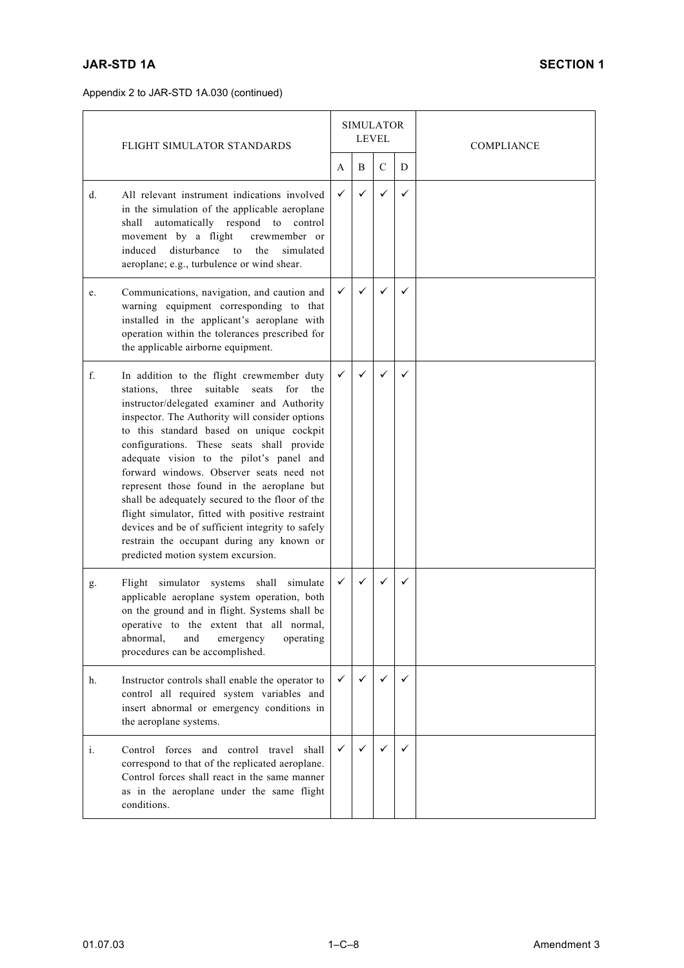|    | FLIGHT SIMULATOR STANDARDS                                                                                                                                                                                                                                                                                                                                                                                                                                                                                                                                                                                                                                                       | <b>SIMULATOR</b><br><b>LEVEL</b> |              |               |   | <b>COMPLIANCE</b> |
|----|----------------------------------------------------------------------------------------------------------------------------------------------------------------------------------------------------------------------------------------------------------------------------------------------------------------------------------------------------------------------------------------------------------------------------------------------------------------------------------------------------------------------------------------------------------------------------------------------------------------------------------------------------------------------------------|----------------------------------|--------------|---------------|---|-------------------|
|    |                                                                                                                                                                                                                                                                                                                                                                                                                                                                                                                                                                                                                                                                                  | A                                | B            | $\mathcal{C}$ | D |                   |
| d. | All relevant instrument indications involved<br>in the simulation of the applicable aeroplane<br>shall<br>automatically respond to<br>control<br>movement by a flight<br>crewmember or<br>induced<br>disturbance<br>the<br>simulated<br>to<br>aeroplane; e.g., turbulence or wind shear.                                                                                                                                                                                                                                                                                                                                                                                         | ✓                                | ✓            | ✓             | ✓ |                   |
| e. | Communications, navigation, and caution and<br>warning equipment corresponding to that<br>installed in the applicant's aeroplane with<br>operation within the tolerances prescribed for<br>the applicable airborne equipment.                                                                                                                                                                                                                                                                                                                                                                                                                                                    | $\checkmark$                     | $\checkmark$ |               | ✓ |                   |
| f. | In addition to the flight crewmember duty<br>suitable<br>stations,<br>three<br>seats<br>for<br>the<br>instructor/delegated examiner and Authority<br>inspector. The Authority will consider options<br>to this standard based on unique cockpit<br>configurations. These seats shall provide<br>adequate vision to the pilot's panel and<br>forward windows. Observer seats need not<br>represent those found in the aeroplane but<br>shall be adequately secured to the floor of the<br>flight simulator, fitted with positive restraint<br>devices and be of sufficient integrity to safely<br>restrain the occupant during any known or<br>predicted motion system excursion. | ✓                                | ✓            |               | ✓ |                   |
| g. | Flight simulator systems shall<br>simulate<br>applicable aeroplane system operation, both<br>on the ground and in flight. Systems shall be<br>operative to the extent that all normal,<br>abnormal,<br>and<br>operating<br>emergency<br>procedures can be accomplished.                                                                                                                                                                                                                                                                                                                                                                                                          | $\checkmark$                     | $\checkmark$ | ✓             | ✓ |                   |
| h. | Instructor controls shall enable the operator to<br>control all required system variables and<br>insert abnormal or emergency conditions in<br>the aeroplane systems.                                                                                                                                                                                                                                                                                                                                                                                                                                                                                                            | $\checkmark$                     | ✓            |               | ✓ |                   |
| i. | Control forces and control travel<br>shall<br>correspond to that of the replicated aeroplane.<br>Control forces shall react in the same manner<br>as in the aeroplane under the same flight<br>conditions.                                                                                                                                                                                                                                                                                                                                                                                                                                                                       | $\checkmark$                     |              |               | ✓ |                   |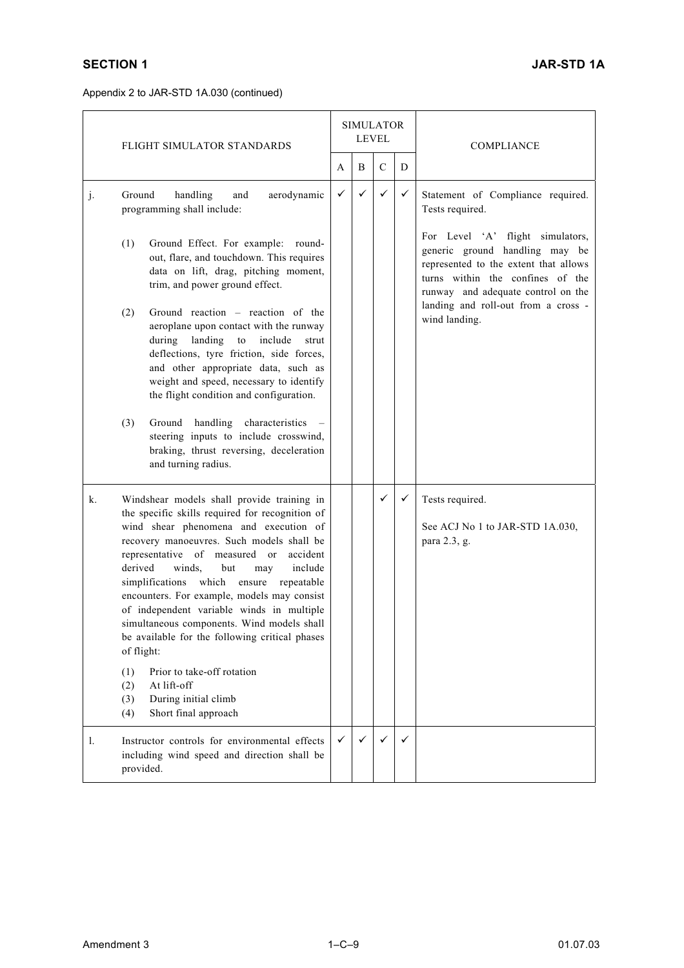|    | FLIGHT SIMULATOR STANDARDS                                                                                                                                                                                                                                                                                                                                                                                                                                                                                                          |              | <b>SIMULATOR</b><br><b>LEVEL</b> |               |   | <b>COMPLIANCE</b>                                                                                                                                                                                                            |  |
|----|-------------------------------------------------------------------------------------------------------------------------------------------------------------------------------------------------------------------------------------------------------------------------------------------------------------------------------------------------------------------------------------------------------------------------------------------------------------------------------------------------------------------------------------|--------------|----------------------------------|---------------|---|------------------------------------------------------------------------------------------------------------------------------------------------------------------------------------------------------------------------------|--|
|    |                                                                                                                                                                                                                                                                                                                                                                                                                                                                                                                                     | A            | B                                | $\mathcal{C}$ | D |                                                                                                                                                                                                                              |  |
| j. | Ground<br>handling<br>and<br>aerodynamic<br>programming shall include:                                                                                                                                                                                                                                                                                                                                                                                                                                                              | $\checkmark$ | $\checkmark$                     | $\checkmark$  | ✓ | Statement of Compliance required.<br>Tests required.                                                                                                                                                                         |  |
|    | Ground Effect. For example: round-<br>(1)<br>out, flare, and touchdown. This requires<br>data on lift, drag, pitching moment,<br>trim, and power ground effect.                                                                                                                                                                                                                                                                                                                                                                     |              |                                  |               |   | For Level 'A' flight simulators,<br>generic ground handling may be<br>represented to the extent that allows<br>turns within the confines of the<br>runway and adequate control on the<br>landing and roll-out from a cross - |  |
|    | Ground reaction – reaction of the<br>(2)<br>aeroplane upon contact with the runway<br>landing<br>to<br>include<br>during<br>strut<br>deflections, tyre friction, side forces,<br>and other appropriate data, such as<br>weight and speed, necessary to identify<br>the flight condition and configuration.                                                                                                                                                                                                                          |              |                                  |               |   | wind landing.                                                                                                                                                                                                                |  |
|    | Ground handling characteristics<br>(3)<br>steering inputs to include crosswind,<br>braking, thrust reversing, deceleration<br>and turning radius.                                                                                                                                                                                                                                                                                                                                                                                   |              |                                  |               |   |                                                                                                                                                                                                                              |  |
| k. | Windshear models shall provide training in<br>the specific skills required for recognition of<br>wind shear phenomena and execution of<br>recovery manoeuvres. Such models shall be<br>representative of measured or<br>accident<br>derived<br>winds.<br>include<br>but<br>may<br>simplifications which ensure repeatable<br>encounters. For example, models may consist<br>of independent variable winds in multiple<br>simultaneous components. Wind models shall<br>be available for the following critical phases<br>of flight: |              |                                  | ✓             | ✓ | Tests required.<br>See ACJ No 1 to JAR-STD 1A.030,<br>para 2.3, g.                                                                                                                                                           |  |
|    | Prior to take-off rotation<br>(1)<br>At lift-off<br>(2)<br>During initial climb<br>(3)<br>Short final approach<br>(4)                                                                                                                                                                                                                                                                                                                                                                                                               |              |                                  |               |   |                                                                                                                                                                                                                              |  |
| 1. | Instructor controls for environmental effects<br>including wind speed and direction shall be<br>provided.                                                                                                                                                                                                                                                                                                                                                                                                                           | ✓            | $\checkmark$                     | ✓             | ✓ |                                                                                                                                                                                                                              |  |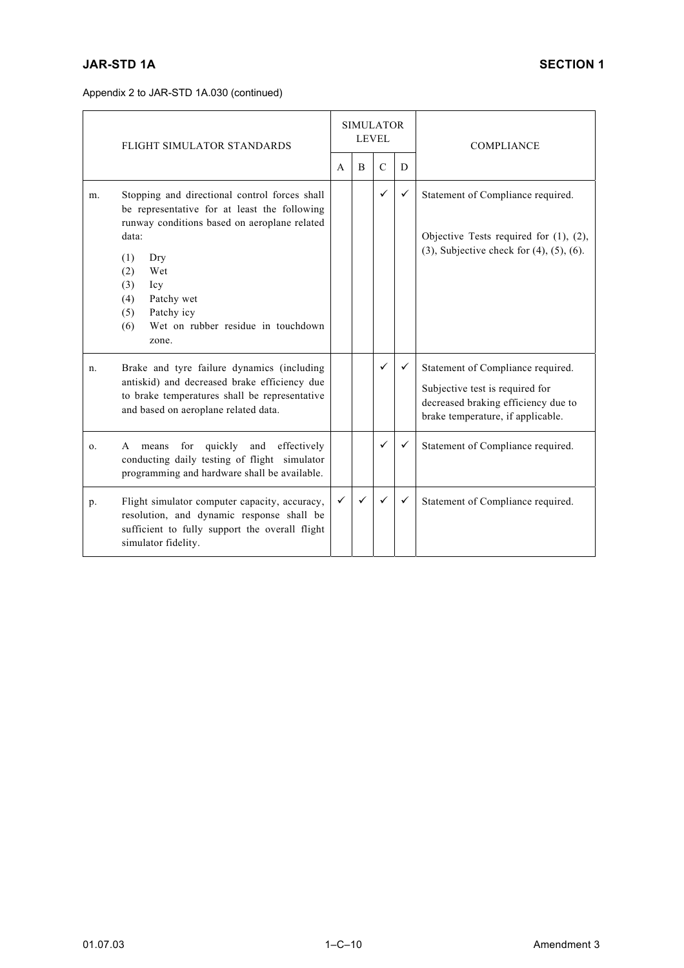| FLIGHT SIMULATOR STANDARDS |                                                                                                                                                                                                                                                                                                  |              | <b>SIMULATOR</b> | <b>LEVEL</b>  |   | <b>COMPLIANCE</b>                                                                                                                                |  |  |
|----------------------------|--------------------------------------------------------------------------------------------------------------------------------------------------------------------------------------------------------------------------------------------------------------------------------------------------|--------------|------------------|---------------|---|--------------------------------------------------------------------------------------------------------------------------------------------------|--|--|
|                            |                                                                                                                                                                                                                                                                                                  | $\mathsf{A}$ | B                | $\mathcal{C}$ | D |                                                                                                                                                  |  |  |
| m <sub>1</sub>             | Stopping and directional control forces shall<br>be representative for at least the following<br>runway conditions based on aeroplane related<br>data:<br>(1)<br>Dry<br>Wet<br>(2)<br>(3)<br>Icy<br>Patchy wet<br>(4)<br>Patchy icy<br>(5)<br>Wet on rubber residue in touchdown<br>(6)<br>zone. |              |                  | $\checkmark$  | ✓ | Statement of Compliance required.<br>Objective Tests required for (1), (2),<br>$(3)$ , Subjective check for $(4)$ , $(5)$ , $(6)$ .              |  |  |
| n.                         | Brake and tyre failure dynamics (including<br>antiskid) and decreased brake efficiency due<br>to brake temperatures shall be representative<br>and based on aeroplane related data.                                                                                                              |              |                  | ✓             | ✓ | Statement of Compliance required.<br>Subjective test is required for<br>decreased braking efficiency due to<br>brake temperature, if applicable. |  |  |
| 0.                         | quickly<br>effectively<br>and<br>for<br>A<br>means<br>conducting daily testing of flight simulator<br>programming and hardware shall be available.                                                                                                                                               |              |                  | ✓             | ✓ | Statement of Compliance required.                                                                                                                |  |  |
| p.                         | Flight simulator computer capacity, accuracy,<br>resolution, and dynamic response shall be<br>sufficient to fully support the overall flight<br>simulator fidelity.                                                                                                                              | $\checkmark$ | ✓                | ✓             | ✓ | Statement of Compliance required.                                                                                                                |  |  |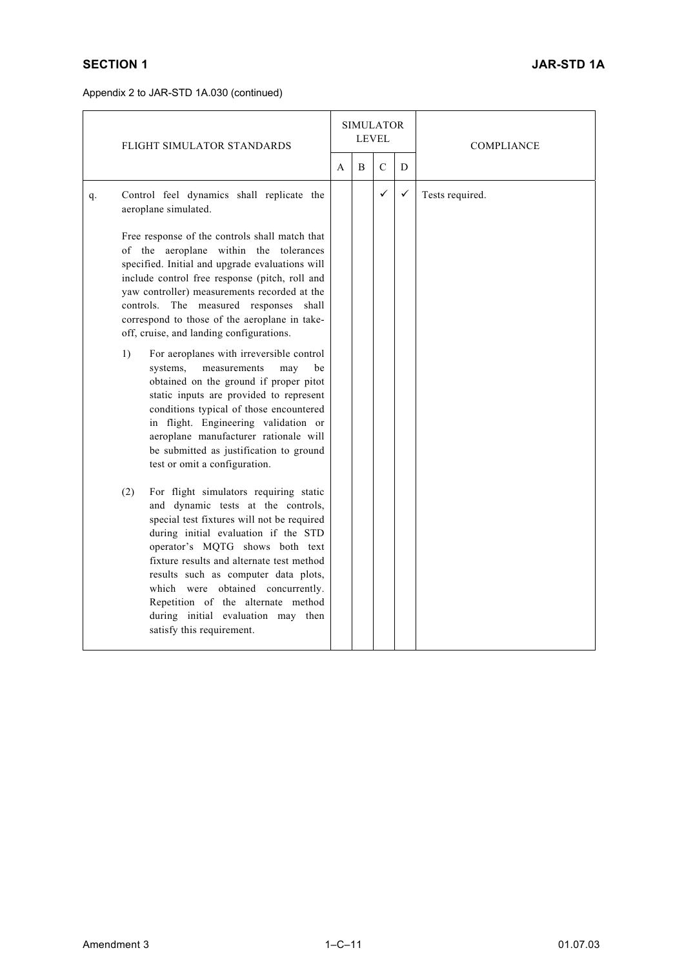|    | FLIGHT SIMULATOR STANDARDS                                                                                                                                                                                                                                                                                                                                                                                                                                                                                                                                                                                                                                                                                                                                                   |   | <b>SIMULATOR</b><br>LEVEL |               |   | <b>COMPLIANCE</b> |
|----|------------------------------------------------------------------------------------------------------------------------------------------------------------------------------------------------------------------------------------------------------------------------------------------------------------------------------------------------------------------------------------------------------------------------------------------------------------------------------------------------------------------------------------------------------------------------------------------------------------------------------------------------------------------------------------------------------------------------------------------------------------------------------|---|---------------------------|---------------|---|-------------------|
|    |                                                                                                                                                                                                                                                                                                                                                                                                                                                                                                                                                                                                                                                                                                                                                                              | A | B                         | $\mathcal{C}$ | D |                   |
| q. | Control feel dynamics shall replicate the<br>aeroplane simulated.                                                                                                                                                                                                                                                                                                                                                                                                                                                                                                                                                                                                                                                                                                            |   |                           | $\checkmark$  | ✓ | Tests required.   |
|    | Free response of the controls shall match that<br>of the aeroplane within the tolerances<br>specified. Initial and upgrade evaluations will<br>include control free response (pitch, roll and<br>yaw controller) measurements recorded at the<br>controls. The measured responses shall<br>correspond to those of the aeroplane in take-<br>off, cruise, and landing configurations.<br>For aeroplanes with irreversible control<br>1)<br>systems,<br>measurements<br>may<br>be<br>obtained on the ground if proper pitot<br>static inputs are provided to represent<br>conditions typical of those encountered<br>in flight. Engineering validation or<br>aeroplane manufacturer rationale will<br>be submitted as justification to ground<br>test or omit a configuration. |   |                           |               |   |                   |
|    | For flight simulators requiring static<br>(2)<br>and dynamic tests at the controls,<br>special test fixtures will not be required<br>during initial evaluation if the STD<br>operator's MQTG shows both text<br>fixture results and alternate test method<br>results such as computer data plots,<br>which were obtained concurrently.<br>Repetition of the alternate method<br>during initial evaluation may then<br>satisfy this requirement.                                                                                                                                                                                                                                                                                                                              |   |                           |               |   |                   |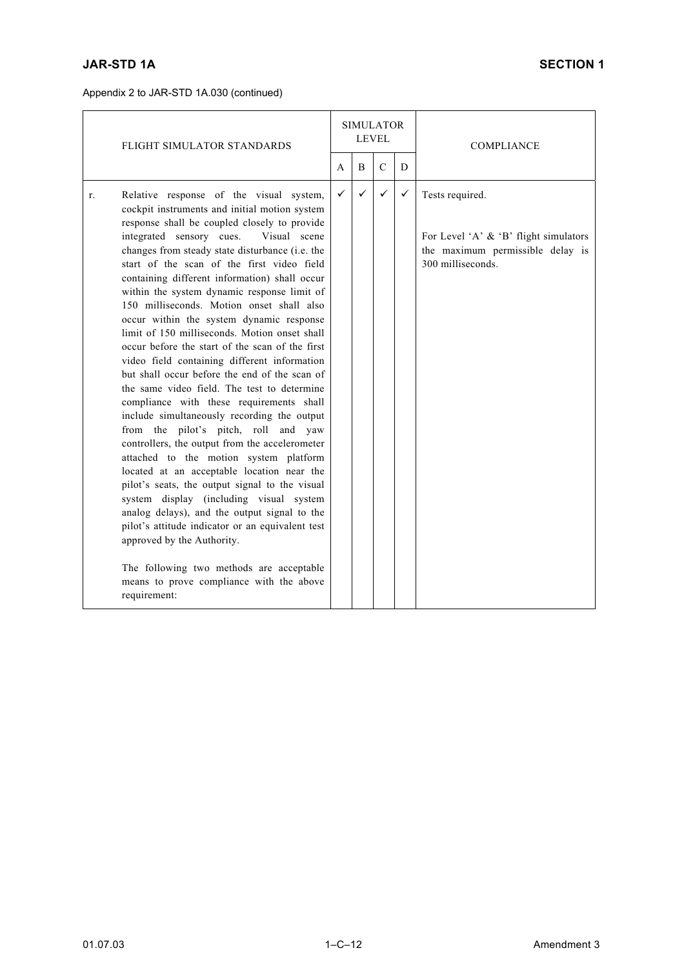|    | FLIGHT SIMULATOR STANDARDS                                                                                                                                                                                                                                                                                                                                                                                                                                                                                                                                                                                                                                                                                                                                                                                                                                                                                                                                                                                                                                                                                                                                                                                                                                                                                                                             |              | <b>SIMULATOR</b><br><b>LEVEL</b> |              |   | <b>COMPLIANCE</b>                                                                                                    |
|----|--------------------------------------------------------------------------------------------------------------------------------------------------------------------------------------------------------------------------------------------------------------------------------------------------------------------------------------------------------------------------------------------------------------------------------------------------------------------------------------------------------------------------------------------------------------------------------------------------------------------------------------------------------------------------------------------------------------------------------------------------------------------------------------------------------------------------------------------------------------------------------------------------------------------------------------------------------------------------------------------------------------------------------------------------------------------------------------------------------------------------------------------------------------------------------------------------------------------------------------------------------------------------------------------------------------------------------------------------------|--------------|----------------------------------|--------------|---|----------------------------------------------------------------------------------------------------------------------|
|    |                                                                                                                                                                                                                                                                                                                                                                                                                                                                                                                                                                                                                                                                                                                                                                                                                                                                                                                                                                                                                                                                                                                                                                                                                                                                                                                                                        | A            | B                                | $\mathsf{C}$ | D |                                                                                                                      |
| r. | Relative response of the visual system,<br>cockpit instruments and initial motion system<br>response shall be coupled closely to provide<br>integrated sensory cues.<br>Visual scene<br>changes from steady state disturbance (i.e. the<br>start of the scan of the first video field<br>containing different information) shall occur<br>within the system dynamic response limit of<br>150 milliseconds. Motion onset shall also<br>occur within the system dynamic response<br>limit of 150 milliseconds. Motion onset shall<br>occur before the start of the scan of the first<br>video field containing different information<br>but shall occur before the end of the scan of<br>the same video field. The test to determine<br>compliance with these requirements shall<br>include simultaneously recording the output<br>from the pilot's pitch, roll and yaw<br>controllers, the output from the accelerometer<br>attached to the motion system platform<br>located at an acceptable location near the<br>pilot's seats, the output signal to the visual<br>system display (including visual system<br>analog delays), and the output signal to the<br>pilot's attitude indicator or an equivalent test<br>approved by the Authority.<br>The following two methods are acceptable<br>means to prove compliance with the above<br>requirement: | $\checkmark$ | $\checkmark$                     | $\checkmark$ | ✓ | Tests required.<br>For Level 'A' $\&$ 'B' flight simulators<br>the maximum permissible delay is<br>300 milliseconds. |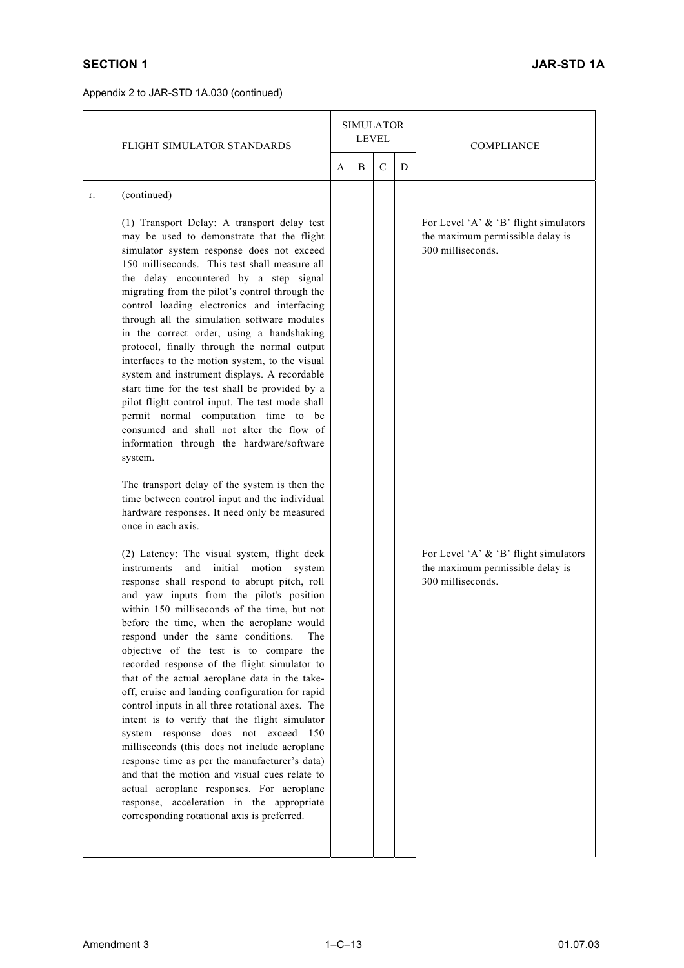|    | FLIGHT SIMULATOR STANDARDS                                                                                                                                                                                                                                                                                                                                                                                                                                                                                                                                                                                                                                                                                                                                                                                                                                                                                                                                                                                                                              |  | <b>SIMULATOR</b><br><b>LEVEL</b> |             |   | <b>COMPLIANCE</b>                                                                                                                       |
|----|---------------------------------------------------------------------------------------------------------------------------------------------------------------------------------------------------------------------------------------------------------------------------------------------------------------------------------------------------------------------------------------------------------------------------------------------------------------------------------------------------------------------------------------------------------------------------------------------------------------------------------------------------------------------------------------------------------------------------------------------------------------------------------------------------------------------------------------------------------------------------------------------------------------------------------------------------------------------------------------------------------------------------------------------------------|--|----------------------------------|-------------|---|-----------------------------------------------------------------------------------------------------------------------------------------|
|    |                                                                                                                                                                                                                                                                                                                                                                                                                                                                                                                                                                                                                                                                                                                                                                                                                                                                                                                                                                                                                                                         |  | B                                | $\mathbf C$ | D |                                                                                                                                         |
| r. | (continued)                                                                                                                                                                                                                                                                                                                                                                                                                                                                                                                                                                                                                                                                                                                                                                                                                                                                                                                                                                                                                                             |  |                                  |             |   |                                                                                                                                         |
|    | (1) Transport Delay: A transport delay test<br>may be used to demonstrate that the flight<br>simulator system response does not exceed<br>150 milliseconds. This test shall measure all<br>the delay encountered by a step signal<br>migrating from the pilot's control through the<br>control loading electronics and interfacing<br>through all the simulation software modules<br>in the correct order, using a handshaking<br>protocol, finally through the normal output<br>interfaces to the motion system, to the visual<br>system and instrument displays. A recordable<br>start time for the test shall be provided by a<br>pilot flight control input. The test mode shall<br>permit normal computation time to be<br>consumed and shall not alter the flow of<br>information through the hardware/software<br>system.<br>The transport delay of the system is then the<br>time between control input and the individual<br>hardware responses. It need only be measured<br>once in each axis.<br>(2) Latency: The visual system, flight deck |  |                                  |             |   | For Level 'A' & 'B' flight simulators<br>the maximum permissible delay is<br>300 milliseconds.<br>For Level 'A' & 'B' flight simulators |
|    | initial<br>motion system<br>instruments<br>and<br>response shall respond to abrupt pitch, roll<br>and yaw inputs from the pilot's position<br>within 150 milliseconds of the time, but not<br>before the time, when the aeroplane would<br>respond under the same conditions.<br>The<br>objective of the test is to compare the<br>recorded response of the flight simulator to<br>that of the actual aeroplane data in the take-<br>off, cruise and landing configuration for rapid<br>control inputs in all three rotational axes. The<br>intent is to verify that the flight simulator<br>system response does not exceed<br>150<br>milliseconds (this does not include aeroplane<br>response time as per the manufacturer's data)<br>and that the motion and visual cues relate to<br>actual aeroplane responses. For aeroplane<br>response, acceleration in the appropriate<br>corresponding rotational axis is preferred.                                                                                                                         |  |                                  |             |   | the maximum permissible delay is<br>300 milliseconds.                                                                                   |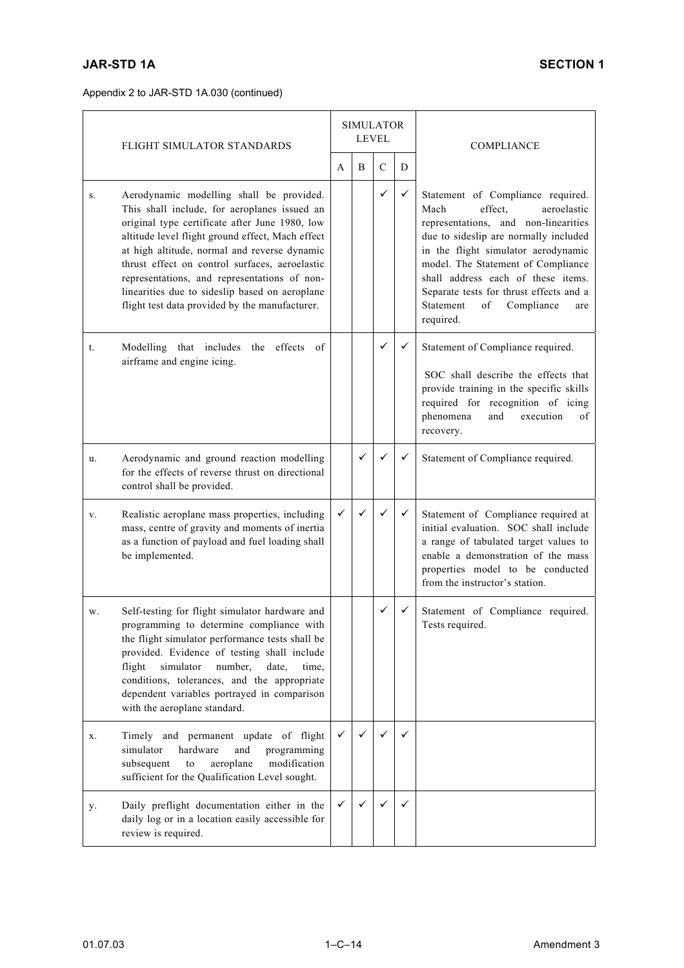|    | FLIGHT SIMULATOR STANDARDS                                                                                                                                                                                                                                                                                                                                                                                                                           |              | <b>SIMULATOR</b><br><b>LEVEL</b> |               |   | <b>COMPLIANCE</b>                                                                                                                                                                                                                                                                                                                                                       |
|----|------------------------------------------------------------------------------------------------------------------------------------------------------------------------------------------------------------------------------------------------------------------------------------------------------------------------------------------------------------------------------------------------------------------------------------------------------|--------------|----------------------------------|---------------|---|-------------------------------------------------------------------------------------------------------------------------------------------------------------------------------------------------------------------------------------------------------------------------------------------------------------------------------------------------------------------------|
|    |                                                                                                                                                                                                                                                                                                                                                                                                                                                      | A            | B                                | $\mathcal{C}$ | D |                                                                                                                                                                                                                                                                                                                                                                         |
| S. | Aerodynamic modelling shall be provided.<br>This shall include, for aeroplanes issued an<br>original type certificate after June 1980, low<br>altitude level flight ground effect, Mach effect<br>at high altitude, normal and reverse dynamic<br>thrust effect on control surfaces, aeroelastic<br>representations, and representations of non-<br>linearities due to sideslip based on aeroplane<br>flight test data provided by the manufacturer. |              |                                  | $\checkmark$  | ✓ | Statement of Compliance required.<br>Mach<br>effect.<br>aeroelastic<br>representations, and non-linearities<br>due to sideslip are normally included<br>in the flight simulator aerodynamic<br>model. The Statement of Compliance<br>shall address each of these items.<br>Separate tests for thrust effects and a<br>Statement<br>of<br>Compliance<br>are<br>required. |
| t. | effects of<br>Modelling that includes<br>the<br>airframe and engine icing.                                                                                                                                                                                                                                                                                                                                                                           |              |                                  | ✓             | ✓ | Statement of Compliance required.<br>SOC shall describe the effects that<br>provide training in the specific skills<br>required for recognition of icing<br>phenomena<br>and<br>execution<br>of<br>recovery.                                                                                                                                                            |
| u. | Aerodynamic and ground reaction modelling<br>for the effects of reverse thrust on directional<br>control shall be provided.                                                                                                                                                                                                                                                                                                                          |              | $\checkmark$                     |               | ✓ | Statement of Compliance required.                                                                                                                                                                                                                                                                                                                                       |
| V. | Realistic aeroplane mass properties, including<br>mass, centre of gravity and moments of inertia<br>as a function of payload and fuel loading shall<br>be implemented.                                                                                                                                                                                                                                                                               | ✓            | ✓                                | ✓             | ✓ | Statement of Compliance required at<br>initial evaluation. SOC shall include<br>a range of tabulated target values to<br>enable a demonstration of the mass<br>properties model to be conducted<br>from the instructor's station.                                                                                                                                       |
| W. | Self-testing for flight simulator hardware and<br>programming to determine compliance with<br>the flight simulator performance tests shall be<br>provided. Evidence of testing shall include<br>flight<br>simulator<br>number,<br>date,<br>time.<br>conditions, tolerances, and the appropriate<br>dependent variables portrayed in comparison<br>with the aeroplane standard.                                                                       |              |                                  | ✓             | ✓ | Statement of Compliance required.<br>Tests required.                                                                                                                                                                                                                                                                                                                    |
| X. | Timely and permanent update of flight<br>simulator<br>hardware<br>and<br>programming<br>aeroplane<br>modification<br>subsequent<br>to<br>sufficient for the Qualification Level sought.                                                                                                                                                                                                                                                              | ✓            | ✓                                | ✓             | ✓ |                                                                                                                                                                                                                                                                                                                                                                         |
| у. | Daily preflight documentation either in the<br>daily log or in a location easily accessible for<br>review is required.                                                                                                                                                                                                                                                                                                                               | $\checkmark$ | ✓                                | ✓             | ✓ |                                                                                                                                                                                                                                                                                                                                                                         |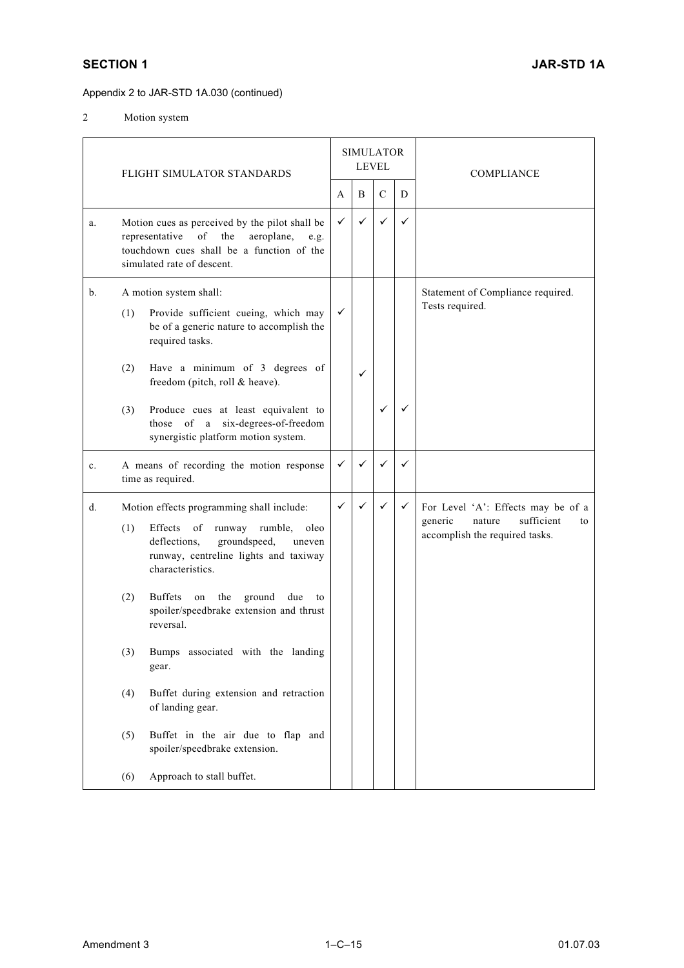2 Motion system

|    |     | FLIGHT SIMULATOR STANDARDS                                                                                                                                                                                                                                                     |   | <b>SIMULATOR</b><br><b>LEVEL</b> |               |   | <b>COMPLIANCE</b>                                                                                             |
|----|-----|--------------------------------------------------------------------------------------------------------------------------------------------------------------------------------------------------------------------------------------------------------------------------------|---|----------------------------------|---------------|---|---------------------------------------------------------------------------------------------------------------|
|    |     |                                                                                                                                                                                                                                                                                | A | B                                | $\mathcal{C}$ | D |                                                                                                               |
| a. |     | Motion cues as perceived by the pilot shall be<br>$% \left( \left( \mathcal{A},\mathcal{A}\right) \right) =\left( \mathcal{A},\mathcal{A}\right)$ of<br>the<br>aeroplane,<br>representative<br>e.g.<br>touchdown cues shall be a function of the<br>simulated rate of descent. | ✓ | $\checkmark$                     | $\checkmark$  | ✓ |                                                                                                               |
| b. | (1) | A motion system shall:<br>Provide sufficient cueing, which may<br>be of a generic nature to accomplish the<br>required tasks.                                                                                                                                                  | ✓ |                                  |               |   | Statement of Compliance required.<br>Tests required.                                                          |
|    | (2) | Have a minimum of 3 degrees of<br>freedom (pitch, roll & heave).                                                                                                                                                                                                               |   | ✓                                |               |   |                                                                                                               |
|    | (3) | Produce cues at least equivalent to<br>those of a six-degrees-of-freedom<br>synergistic platform motion system.                                                                                                                                                                |   |                                  | ✓             | ✓ |                                                                                                               |
| c. |     | A means of recording the motion response<br>time as required.                                                                                                                                                                                                                  | ✓ | ✓                                | $\checkmark$  | ✓ |                                                                                                               |
| d. | (1) | Motion effects programming shall include:<br>Effects<br>of<br>runway<br>rumble,<br>oleo<br>deflections,<br>groundspeed,<br>uneven<br>runway, centreline lights and taxiway<br>characteristics.                                                                                 | ✓ | ✓                                | ✓             | ✓ | For Level 'A': Effects may be of a<br>generic<br>sufficient<br>nature<br>to<br>accomplish the required tasks. |
|    | (2) | <b>Buffets</b><br>the ground<br>on<br>due<br>to<br>spoiler/speedbrake extension and thrust<br>reversal.                                                                                                                                                                        |   |                                  |               |   |                                                                                                               |
|    |     | (3) Bumps associated with the landing<br>gear.                                                                                                                                                                                                                                 |   |                                  |               |   |                                                                                                               |
|    | (4) | Buffet during extension and retraction<br>of landing gear.                                                                                                                                                                                                                     |   |                                  |               |   |                                                                                                               |
|    | (5) | Buffet in the air due to flap and<br>spoiler/speedbrake extension.                                                                                                                                                                                                             |   |                                  |               |   |                                                                                                               |
|    | (6) | Approach to stall buffet.                                                                                                                                                                                                                                                      |   |                                  |               |   |                                                                                                               |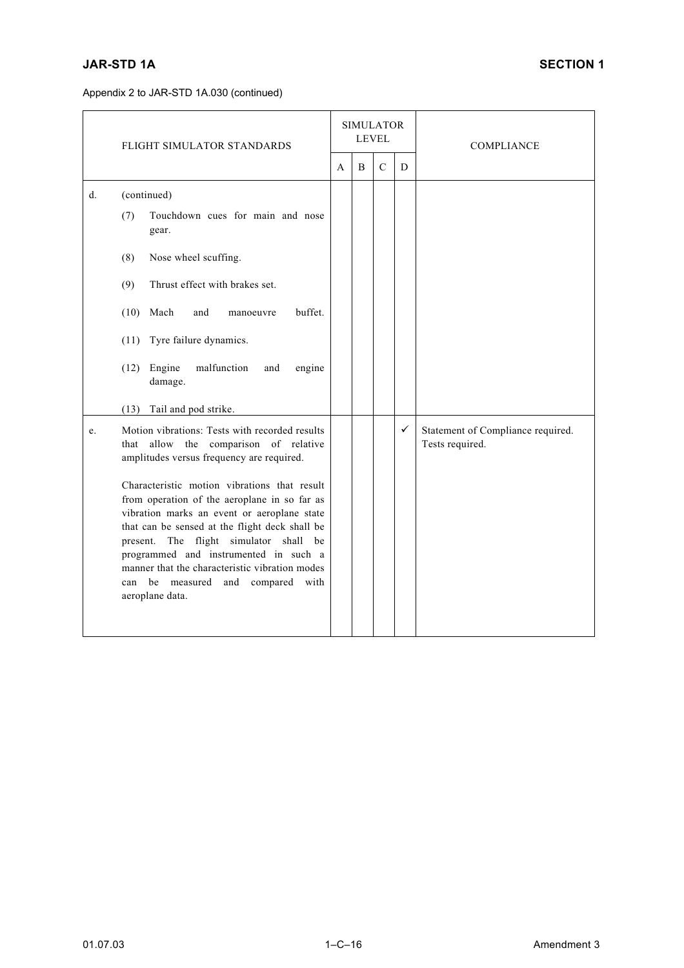|       | FLIGHT SIMULATOR STANDARDS                                                                                                                                                                                                                                                                                                                                                                                                                                                                                                                                                        |  | <b>SIMULATOR</b><br><b>LEVEL</b> |               |   | <b>COMPLIANCE</b>                                    |
|-------|-----------------------------------------------------------------------------------------------------------------------------------------------------------------------------------------------------------------------------------------------------------------------------------------------------------------------------------------------------------------------------------------------------------------------------------------------------------------------------------------------------------------------------------------------------------------------------------|--|----------------------------------|---------------|---|------------------------------------------------------|
|       |                                                                                                                                                                                                                                                                                                                                                                                                                                                                                                                                                                                   |  | B                                | $\mathcal{C}$ | D |                                                      |
| $d$ . | (continued)<br>Touchdown cues for main and nose<br>(7)<br>gear.<br>Nose wheel scuffing.<br>(8)<br>Thrust effect with brakes set.<br>(9)<br>buffet.<br>Mach<br>(10)<br>and<br>manoeuvre<br>Tyre failure dynamics.<br>(11)<br>$(12)$ Engine<br>malfunction<br>and<br>engine<br>damage.                                                                                                                                                                                                                                                                                              |  |                                  |               |   |                                                      |
| e.    | Tail and pod strike.<br>(13)<br>Motion vibrations: Tests with recorded results<br>allow the comparison of relative<br>that<br>amplitudes versus frequency are required.<br>Characteristic motion vibrations that result<br>from operation of the aeroplane in so far as<br>vibration marks an event or aeroplane state<br>that can be sensed at the flight deck shall be<br>present. The flight simulator shall be<br>programmed and instrumented in such a<br>manner that the characteristic vibration modes<br>be measured<br>with<br>and<br>compared<br>can<br>aeroplane data. |  |                                  |               | ✓ | Statement of Compliance required.<br>Tests required. |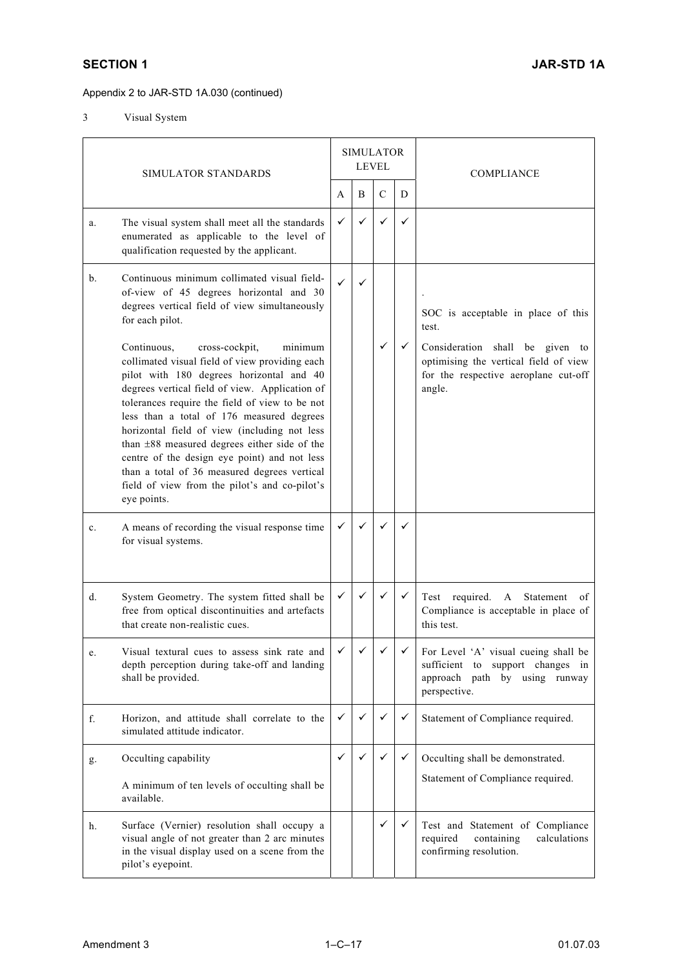3 Visual System

|    | SIMULATOR STANDARDS                                                                                                                                                                                                                                                                                                                                                                                                                                                                                                                                     | <b>SIMULATOR</b><br><b>LEVEL</b> |   |               | <b>COMPLIANCE</b> |                                                                                                                            |
|----|---------------------------------------------------------------------------------------------------------------------------------------------------------------------------------------------------------------------------------------------------------------------------------------------------------------------------------------------------------------------------------------------------------------------------------------------------------------------------------------------------------------------------------------------------------|----------------------------------|---|---------------|-------------------|----------------------------------------------------------------------------------------------------------------------------|
|    |                                                                                                                                                                                                                                                                                                                                                                                                                                                                                                                                                         | A                                | B | $\mathcal{C}$ | D                 |                                                                                                                            |
| a. | The visual system shall meet all the standards<br>enumerated as applicable to the level of<br>qualification requested by the applicant.                                                                                                                                                                                                                                                                                                                                                                                                                 | $\checkmark$                     | ✓ | ✓             | ✓                 |                                                                                                                            |
| b. | Continuous minimum collimated visual field-<br>of-view of 45 degrees horizontal and 30<br>degrees vertical field of view simultaneously<br>for each pilot.                                                                                                                                                                                                                                                                                                                                                                                              | ✓                                |   |               |                   | SOC is acceptable in place of this<br>test.                                                                                |
|    | Continuous,<br>cross-cockpit,<br>minimum<br>collimated visual field of view providing each<br>pilot with 180 degrees horizontal and 40<br>degrees vertical field of view. Application of<br>tolerances require the field of view to be not<br>less than a total of 176 measured degrees<br>horizontal field of view (including not less<br>than ±88 measured degrees either side of the<br>centre of the design eye point) and not less<br>than a total of 36 measured degrees vertical<br>field of view from the pilot's and co-pilot's<br>eye points. |                                  |   | ✓             | ✓                 | Consideration shall be given to<br>optimising the vertical field of view<br>for the respective aeroplane cut-off<br>angle. |
| c. | A means of recording the visual response time<br>for visual systems.                                                                                                                                                                                                                                                                                                                                                                                                                                                                                    | $\checkmark$                     | ✓ |               | ✓                 |                                                                                                                            |
| d. | System Geometry. The system fitted shall be<br>free from optical discontinuities and artefacts<br>that create non-realistic cues.                                                                                                                                                                                                                                                                                                                                                                                                                       | $\checkmark$                     | ✓ | ✓             | ✓                 | Statement<br>Test required.<br>$\mathbf{A}$<br>of<br>Compliance is acceptable in place of<br>this test.                    |
| σ. | Visual textural cues to assess sink rate and<br>depth perception during take-off and landing<br>shall be provided.                                                                                                                                                                                                                                                                                                                                                                                                                                      | $\checkmark$                     | ✓ | ✓             | $\checkmark$      | For Level 'A' visual cueing shall be<br>sufficient to support changes in<br>approach path by using runway<br>perspective.  |
| f. | Horizon, and attitude shall correlate to the<br>simulated attitude indicator.                                                                                                                                                                                                                                                                                                                                                                                                                                                                           | ✓                                | ✓ | $\checkmark$  | ✓                 | Statement of Compliance required.                                                                                          |
| g. | Occulting capability                                                                                                                                                                                                                                                                                                                                                                                                                                                                                                                                    | $\checkmark$                     | ✓ | $\checkmark$  | ✓                 | Occulting shall be demonstrated.<br>Statement of Compliance required.                                                      |
|    | A minimum of ten levels of occulting shall be<br>available.                                                                                                                                                                                                                                                                                                                                                                                                                                                                                             |                                  |   |               |                   |                                                                                                                            |
| h. | Surface (Vernier) resolution shall occupy a<br>visual angle of not greater than 2 arc minutes<br>in the visual display used on a scene from the<br>pilot's eyepoint.                                                                                                                                                                                                                                                                                                                                                                                    |                                  |   | ✓             | ✓                 | Test and Statement of Compliance<br>calculations<br>required<br>containing<br>confirming resolution.                       |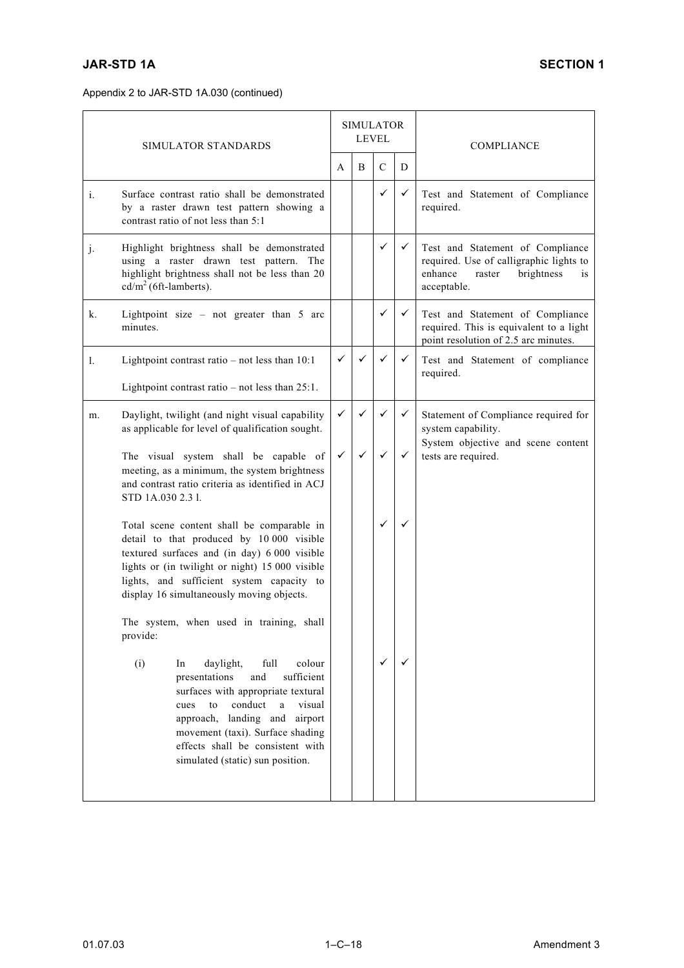|    | SIMULATOR STANDARDS                                                                                                                                                                                                                                                                                                     |              | <b>SIMULATOR</b><br><b>LEVEL</b> |               |   | <b>COMPLIANCE</b>                                                                                                                          |
|----|-------------------------------------------------------------------------------------------------------------------------------------------------------------------------------------------------------------------------------------------------------------------------------------------------------------------------|--------------|----------------------------------|---------------|---|--------------------------------------------------------------------------------------------------------------------------------------------|
|    |                                                                                                                                                                                                                                                                                                                         | A            | B                                | $\mathcal{C}$ | D |                                                                                                                                            |
| i. | Surface contrast ratio shall be demonstrated<br>by a raster drawn test pattern showing a<br>contrast ratio of not less than 5:1                                                                                                                                                                                         |              |                                  | $\checkmark$  | ✓ | Test and Statement of Compliance<br>required.                                                                                              |
| j. | Highlight brightness shall be demonstrated<br>using a raster drawn test pattern. The<br>highlight brightness shall not be less than 20<br>$cd/m2$ (6ft-lamberts).                                                                                                                                                       |              |                                  | $\checkmark$  | ✓ | Test and Statement of Compliance<br>required. Use of calligraphic lights to<br>enhance<br>brightness<br>raster<br><i>is</i><br>acceptable. |
| k. | Lightpoint size – not greater than $5$ arc<br>minutes.                                                                                                                                                                                                                                                                  |              |                                  | ✓             | ✓ | Test and Statement of Compliance<br>required. This is equivalent to a light<br>point resolution of 2.5 arc minutes.                        |
| 1. | Lightpoint contrast ratio $-$ not less than 10:1                                                                                                                                                                                                                                                                        | ✓            |                                  | ✓             | ✓ | Test and Statement of compliance<br>required.                                                                                              |
|    | Lightpoint contrast ratio $-$ not less than 25:1.                                                                                                                                                                                                                                                                       |              |                                  |               |   |                                                                                                                                            |
| m. | Daylight, twilight (and night visual capability<br>as applicable for level of qualification sought.                                                                                                                                                                                                                     | $\checkmark$ | ✓                                | ✓             | ✓ | Statement of Compliance required for<br>system capability.                                                                                 |
|    | The visual system shall be capable of<br>meeting, as a minimum, the system brightness<br>and contrast ratio criteria as identified in ACJ<br>STD 1A.030 2.3 1.                                                                                                                                                          | $\checkmark$ |                                  | ✓             | ✓ | System objective and scene content<br>tests are required.                                                                                  |
|    | Total scene content shall be comparable in<br>detail to that produced by 10 000 visible<br>textured surfaces and (in day) 6 000 visible<br>lights or (in twilight or night) 15 000 visible<br>lights, and sufficient system capacity to<br>display 16 simultaneously moving objects.                                    |              |                                  | ✓             | ✓ |                                                                                                                                            |
|    | The system, when used in training, shall<br>provide:                                                                                                                                                                                                                                                                    |              |                                  |               |   |                                                                                                                                            |
|    | (i)<br>full<br>colour<br>In<br>daylight,<br>and<br>sufficient<br>presentations<br>surfaces with appropriate textural<br>conduct<br>to<br>$\mathbf{a}$<br>visual<br>cues<br>approach, landing and<br>airport<br>movement (taxi). Surface shading<br>effects shall be consistent with<br>simulated (static) sun position. |              |                                  | ✓             | ✓ |                                                                                                                                            |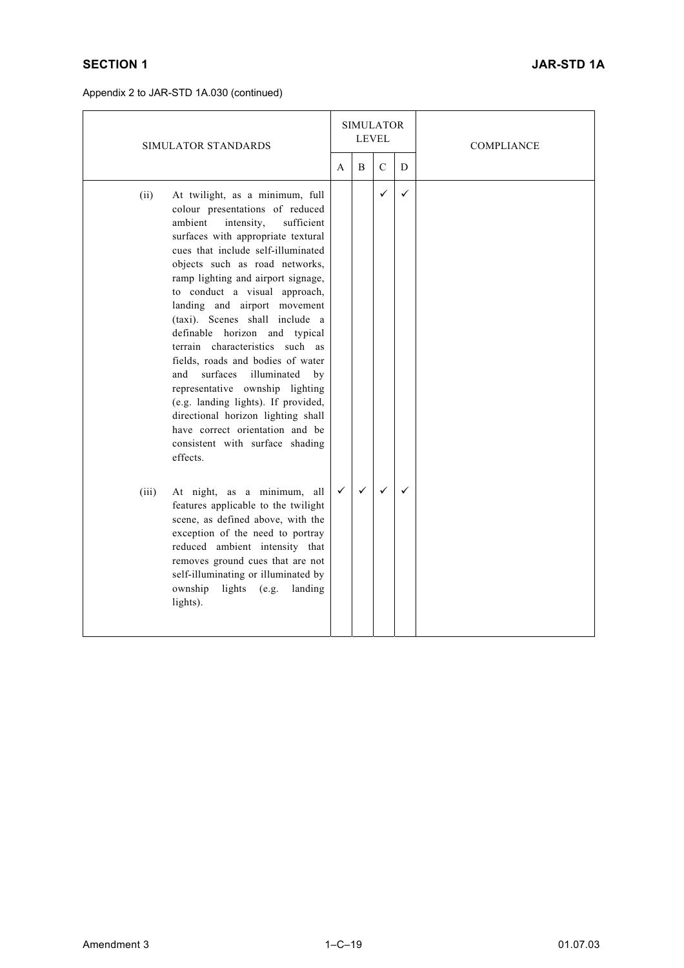| SIMULATOR STANDARDS                                                                                                                                                                                                                                                                                                                                                                                                                                                                                                                                                                                                                                                                                                         |              | <b>SIMULATOR</b><br>LEVEL |              |              | COMPLIANCE |
|-----------------------------------------------------------------------------------------------------------------------------------------------------------------------------------------------------------------------------------------------------------------------------------------------------------------------------------------------------------------------------------------------------------------------------------------------------------------------------------------------------------------------------------------------------------------------------------------------------------------------------------------------------------------------------------------------------------------------------|--------------|---------------------------|--------------|--------------|------------|
|                                                                                                                                                                                                                                                                                                                                                                                                                                                                                                                                                                                                                                                                                                                             |              | B                         | $\mathbf C$  | D            |            |
| At twilight, as a minimum, full<br>(ii)<br>colour presentations of reduced<br>ambient<br>intensity,<br>sufficient<br>surfaces with appropriate textural<br>cues that include self-illuminated<br>objects such as road networks,<br>ramp lighting and airport signage,<br>to conduct a visual approach,<br>landing and airport movement<br>(taxi). Scenes shall include a<br>definable horizon and typical<br>terrain characteristics such as<br>fields, roads and bodies of water<br>surfaces<br>illuminated<br>and<br>by<br>representative ownship lighting<br>(e.g. landing lights). If provided,<br>directional horizon lighting shall<br>have correct orientation and be<br>consistent with surface shading<br>effects. |              |                           | $\checkmark$ | $\checkmark$ |            |
| At night, as a minimum, all<br>(iii)<br>features applicable to the twilight<br>scene, as defined above, with the<br>exception of the need to portray<br>reduced ambient intensity that<br>removes ground cues that are not<br>self-illuminating or illuminated by<br>ownship<br>lights $(e.g.$<br>landing<br>lights).                                                                                                                                                                                                                                                                                                                                                                                                       | $\checkmark$ | ✓                         | $\checkmark$ |              |            |